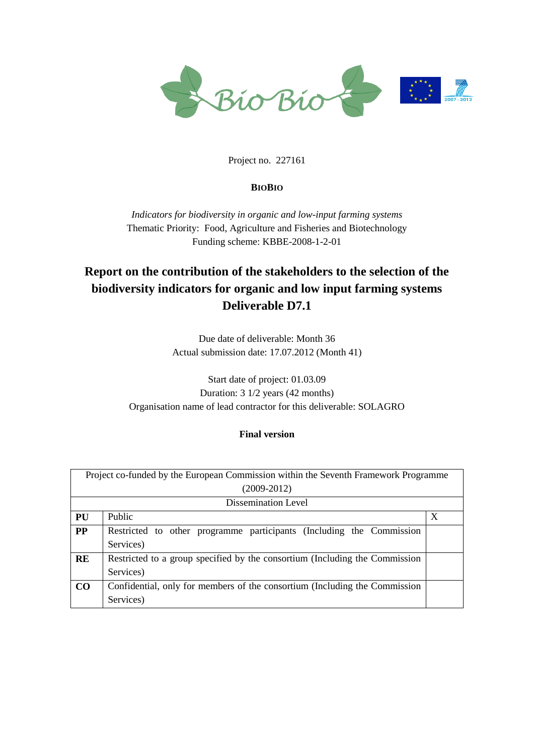

Project no. 227161

# **BIOBIO**

*Indicators for biodiversity in organic and low-input farming systems* Thematic Priority: Food, Agriculture and Fisheries and Biotechnology Funding scheme: KBBE-2008-1-2-01

# **Report on the contribution of the stakeholders to the selection of the biodiversity indicators for organic and low input farming systems Deliverable D7.1**

Due date of deliverable: Month 36 Actual submission date: 17.07.2012 (Month 41)

Start date of project: 01.03.09 Duration: 3 1/2 years (42 months) Organisation name of lead contractor for this deliverable: SOLAGRO

### **Final version**

| Project co-funded by the European Commission within the Seventh Framework Programme |                                                                             |   |  |
|-------------------------------------------------------------------------------------|-----------------------------------------------------------------------------|---|--|
|                                                                                     | $(2009 - 2012)$                                                             |   |  |
| <b>Dissemination Level</b>                                                          |                                                                             |   |  |
| PU                                                                                  | Public                                                                      | X |  |
| <b>PP</b>                                                                           | Restricted to other programme participants (Including the Commission        |   |  |
|                                                                                     | Services)                                                                   |   |  |
| <b>RE</b>                                                                           | Restricted to a group specified by the consortium (Including the Commission |   |  |
| Services)                                                                           |                                                                             |   |  |
| CO                                                                                  | Confidential, only for members of the consortium (Including the Commission  |   |  |
|                                                                                     | Services)                                                                   |   |  |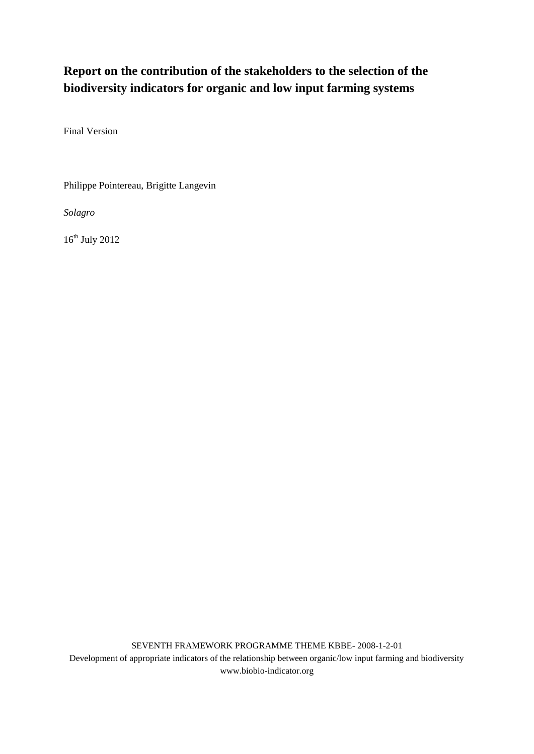# **Report on the contribution of the stakeholders to the selection of the biodiversity indicators for organic and low input farming systems**

Final Version

Philippe Pointereau, Brigitte Langevin

*Solagro*

 $16^{th}$  July 2012

SEVENTH FRAMEWORK PROGRAMME THEME KBBE- 2008-1-2-01 Development of appropriate indicators of the relationship between organic/low input farming and biodiversity www.biobio-indicator.org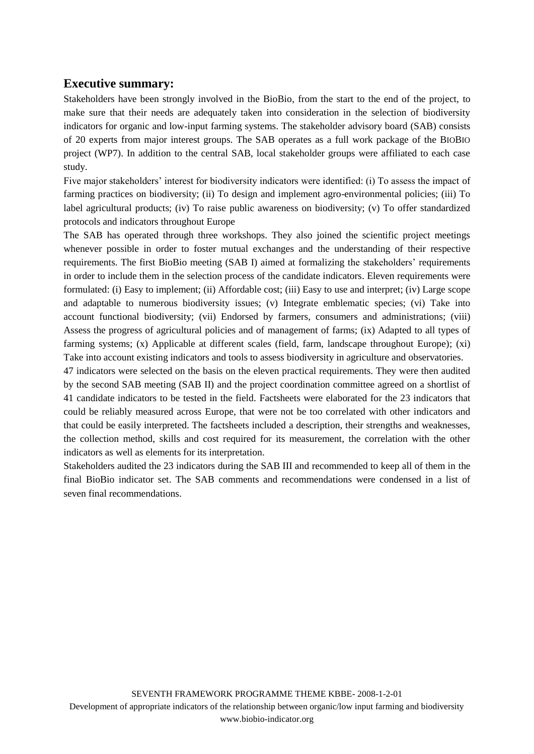# **Executive summary:**

Stakeholders have been strongly involved in the BioBio, from the start to the end of the project, to make sure that their needs are adequately taken into consideration in the selection of biodiversity indicators for organic and low-input farming systems. The stakeholder advisory board (SAB) consists of 20 experts from major interest groups. The SAB operates as a full work package of the BIOBIO project (WP7). In addition to the central SAB, local stakeholder groups were affiliated to each case study.

Five major stakeholders' interest for biodiversity indicators were identified: (i) To assess the impact of farming practices on biodiversity; (ii) To design and implement agro-environmental policies; (iii) To label agricultural products; (iv) To raise public awareness on biodiversity; (v) To offer standardized protocols and indicators throughout Europe

The SAB has operated through three workshops. They also joined the scientific project meetings whenever possible in order to foster mutual exchanges and the understanding of their respective requirements. The first BioBio meeting (SAB I) aimed at formalizing the stakeholders" requirements in order to include them in the selection process of the candidate indicators. Eleven requirements were formulated: (i) Easy to implement; (ii) Affordable cost; (iii) Easy to use and interpret; (iv) Large scope and adaptable to numerous biodiversity issues; (v) Integrate emblematic species; (vi) Take into account functional biodiversity; (vii) Endorsed by farmers, consumers and administrations; (viii) Assess the progress of agricultural policies and of management of farms; (ix) Adapted to all types of farming systems; (x) Applicable at different scales (field, farm, landscape throughout Europe); (xi) Take into account existing indicators and tools to assess biodiversity in agriculture and observatories.

47 indicators were selected on the basis on the eleven practical requirements. They were then audited by the second SAB meeting (SAB II) and the project coordination committee agreed on a shortlist of 41 candidate indicators to be tested in the field. Factsheets were elaborated for the 23 indicators that could be reliably measured across Europe, that were not be too correlated with other indicators and that could be easily interpreted. The factsheets included a description, their strengths and weaknesses, the collection method, skills and cost required for its measurement, the correlation with the other indicators as well as elements for its interpretation.

Stakeholders audited the 23 indicators during the SAB III and recommended to keep all of them in the final BioBio indicator set. The SAB comments and recommendations were condensed in a list of seven final recommendations.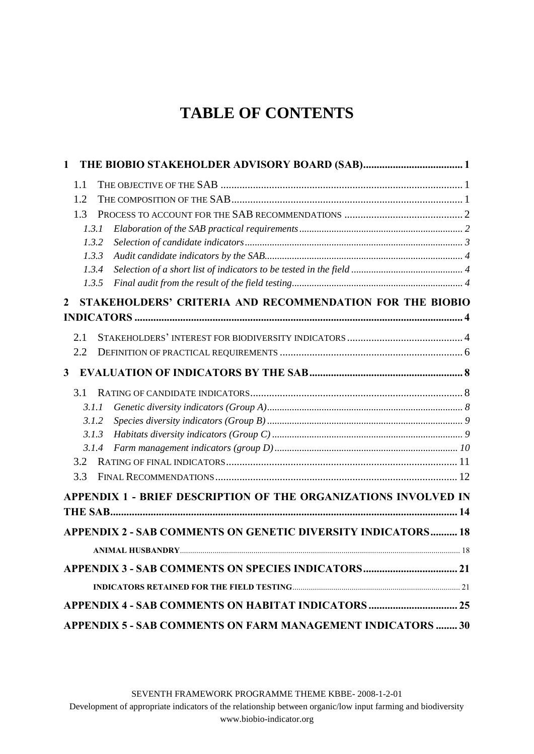# **TABLE OF CONTENTS**

| 1                                                                        |  |
|--------------------------------------------------------------------------|--|
| 1.1                                                                      |  |
| 1.2                                                                      |  |
| 1.3                                                                      |  |
| 1.3.1                                                                    |  |
| 1.3.2                                                                    |  |
| 1.3.3                                                                    |  |
| 1.3.4                                                                    |  |
| 1.3.5                                                                    |  |
| STAKEHOLDERS' CRITERIA AND RECOMMENDATION FOR THE BIOBIO<br>$\mathbf{2}$ |  |
|                                                                          |  |
| 2.1                                                                      |  |
| 2.2                                                                      |  |
| 3                                                                        |  |
| 3.1                                                                      |  |
| 3.1.1                                                                    |  |
| 3.1.2                                                                    |  |
| 3.1.3                                                                    |  |
| 3.1.4                                                                    |  |
| 3.2                                                                      |  |
| 3.3                                                                      |  |
| APPENDIX 1 - BRIEF DESCRIPTION OF THE ORGANIZATIONS INVOLVED IN          |  |
|                                                                          |  |
| <b>APPENDIX 2 - SAB COMMENTS ON GENETIC DIVERSITY INDICATORS 18</b>      |  |
|                                                                          |  |
|                                                                          |  |
|                                                                          |  |
|                                                                          |  |
| APPENDIX 5 - SAB COMMENTS ON FARM MANAGEMENT INDICATORS  30              |  |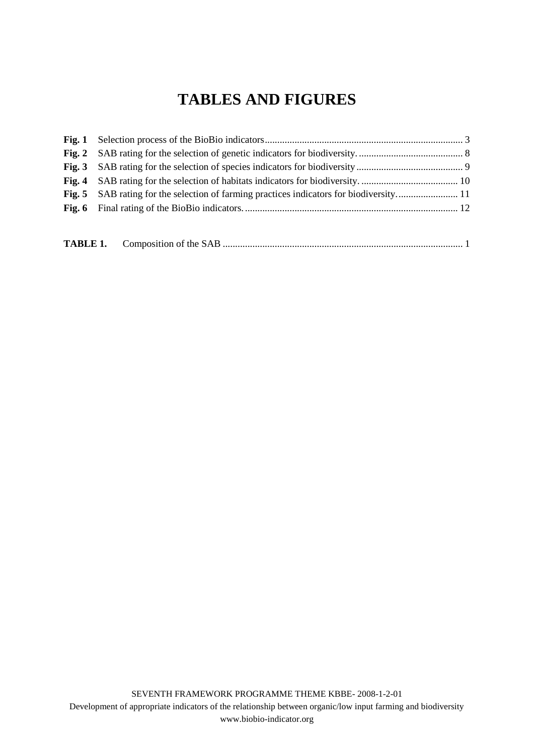# **TABLES AND FIGURES**

| TABLE 1. |  |  |
|----------|--|--|
|----------|--|--|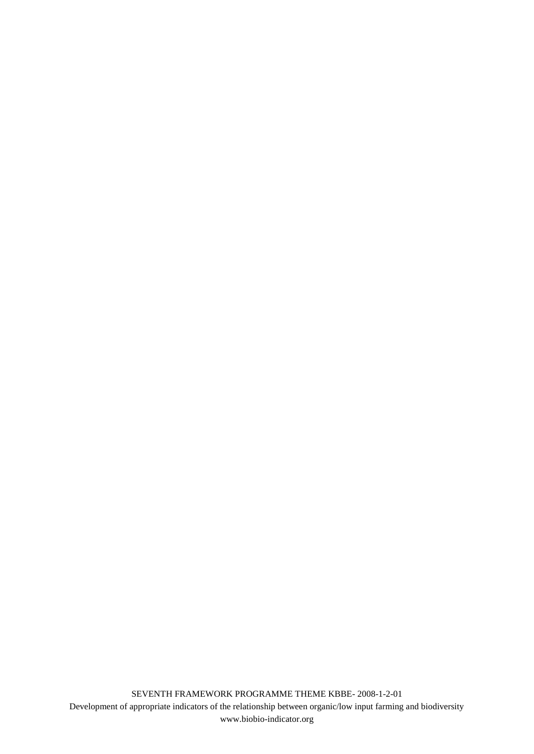SEVENTH FRAMEWORK PROGRAMME THEME KBBE- 2008-1-2-01 Development of appropriate indicators of the relationship between organic/low input farming and biodiversity www.biobio-indicator.org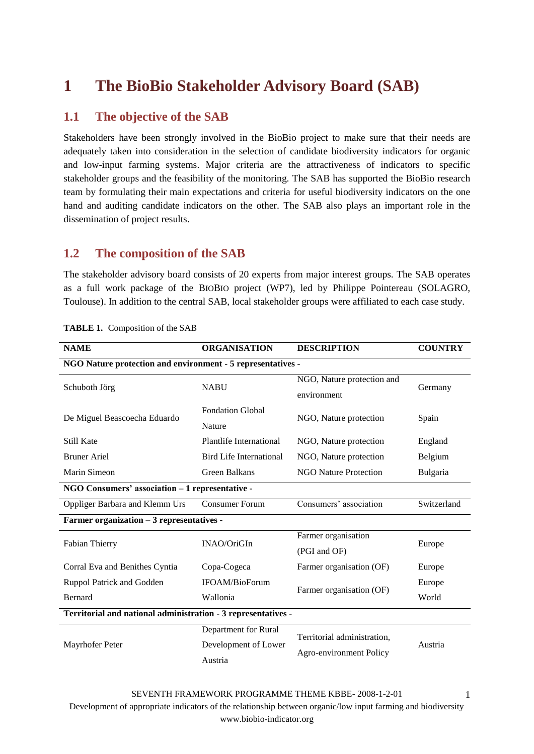# **1 The BioBio Stakeholder Advisory Board (SAB)**

# **1.1 The objective of the SAB**

Stakeholders have been strongly involved in the BioBio project to make sure that their needs are adequately taken into consideration in the selection of candidate biodiversity indicators for organic and low-input farming systems. Major criteria are the attractiveness of indicators to specific stakeholder groups and the feasibility of the monitoring. The SAB has supported the BioBio research team by formulating their main expectations and criteria for useful biodiversity indicators on the one hand and auditing candidate indicators on the other. The SAB also plays an important role in the dissemination of project results.

# **1.2 The composition of the SAB**

The stakeholder advisory board consists of 20 experts from major interest groups. The SAB operates as a full work package of the BIOBIO project (WP7), led by Philippe Pointereau (SOLAGRO, Toulouse). In addition to the central SAB, local stakeholder groups were affiliated to each case study.

| <b>NAME</b>                                                   | <b>ORGANISATION</b>                                     | <b>DESCRIPTION</b>                                     | <b>COUNTRY</b> |  |
|---------------------------------------------------------------|---------------------------------------------------------|--------------------------------------------------------|----------------|--|
| NGO Nature protection and environment - 5 representatives -   |                                                         |                                                        |                |  |
| Schuboth Jörg                                                 | <b>NABU</b>                                             | NGO, Nature protection and<br>environment              | Germany        |  |
| De Miguel Beascoecha Eduardo                                  | <b>Fondation Global</b><br>Nature                       | NGO, Nature protection                                 | Spain          |  |
| Still Kate                                                    | <b>Plantlife International</b>                          | NGO, Nature protection                                 | England        |  |
| <b>Bruner Ariel</b>                                           | Bird Life International                                 | NGO, Nature protection                                 | Belgium        |  |
| Marin Simeon                                                  | <b>Green Balkans</b>                                    | <b>NGO Nature Protection</b>                           | Bulgaria       |  |
| NGO Consumers' association - 1 representative -               |                                                         |                                                        |                |  |
| Oppliger Barbara and Klemm Urs                                | <b>Consumer Forum</b>                                   | Consumers' association                                 | Switzerland    |  |
| Farmer organization - 3 representatives -                     |                                                         |                                                        |                |  |
| Fabian Thierry                                                | INAO/OriGIn                                             | Farmer organisation<br>(PGI and OF)                    | Europe         |  |
| Corral Eva and Benithes Cyntia                                | Copa-Cogeca                                             | Farmer organisation (OF)                               | Europe         |  |
| Ruppol Patrick and Godden                                     | IFOAM/BioForum                                          |                                                        | Europe         |  |
| Bernard                                                       | Wallonia                                                | Farmer organisation (OF)                               | World          |  |
| Territorial and national administration - 3 representatives - |                                                         |                                                        |                |  |
| Mayrhofer Peter                                               | Department for Rural<br>Development of Lower<br>Austria | Territorial administration,<br>Agro-environment Policy | Austria        |  |

**TABLE 1.** Composition of the SAB

SEVENTH FRAMEWORK PROGRAMME THEME KBBE- 2008-1-2-01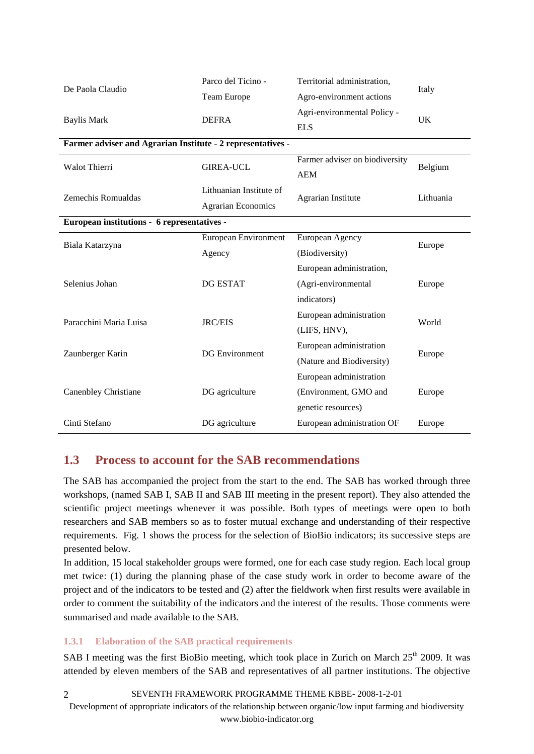| De Paola Claudio                                            | Parco del Ticino -        | Territorial administration,    | Italy     |  |
|-------------------------------------------------------------|---------------------------|--------------------------------|-----------|--|
|                                                             | Team Europe               | Agro-environment actions       |           |  |
|                                                             | <b>DEFRA</b>              | Agri-environmental Policy -    | UK        |  |
| <b>Baylis Mark</b>                                          |                           | <b>ELS</b>                     |           |  |
| Farmer adviser and Agrarian Institute - 2 representatives - |                           |                                |           |  |
| Walot Thierri                                               | <b>GIREA-UCL</b>          | Farmer adviser on biodiversity | Belgium   |  |
|                                                             |                           | <b>AEM</b>                     |           |  |
| Zemechis Romualdas                                          | Lithuanian Institute of   | Agrarian Institute             | Lithuania |  |
|                                                             | <b>Agrarian Economics</b> |                                |           |  |
| European institutions - 6 representatives -                 |                           |                                |           |  |
| Biala Katarzyna                                             | European Environment      | European Agency                | Europe    |  |
|                                                             | Agency                    | (Biodiversity)                 |           |  |
|                                                             | <b>DG ESTAT</b>           | European administration,       |           |  |
| Selenius Johan                                              |                           | (Agri-environmental            | Europe    |  |
|                                                             |                           | indicators)                    |           |  |
| Paracchini Maria Luisa                                      | <b>JRC/EIS</b>            | European administration        | World     |  |
|                                                             |                           | (LIFS, HNV),                   |           |  |
|                                                             | <b>DG</b> Environment     | European administration        |           |  |
| Zaunberger Karin                                            |                           | (Nature and Biodiversity)      | Europe    |  |
|                                                             |                           | European administration        |           |  |
| Canenbley Christiane                                        | DG agriculture            | (Environment, GMO and          | Europe    |  |
|                                                             |                           | genetic resources)             |           |  |
| Cinti Stefano                                               | DG agriculture            | European administration OF     | Europe    |  |

# **1.3 Process to account for the SAB recommendations**

The SAB has accompanied the project from the start to the end. The SAB has worked through three workshops, (named SAB I, SAB II and SAB III meeting in the present report). They also attended the scientific project meetings whenever it was possible. Both types of meetings were open to both researchers and SAB members so as to foster mutual exchange and understanding of their respective requirements. Fig. 1 shows the process for the selection of BioBio indicators; its successive steps are presented below.

In addition, 15 local stakeholder groups were formed, one for each case study region. Each local group met twice: (1) during the planning phase of the case study work in order to become aware of the project and of the indicators to be tested and (2) after the fieldwork when first results were available in order to comment the suitability of the indicators and the interest of the results. Those comments were summarised and made available to the SAB.

# **1.3.1 Elaboration of the SAB practical requirements**

SAB I meeting was the first BioBio meeting, which took place in Zurich on March 25<sup>th</sup> 2009. It was attended by eleven members of the SAB and representatives of all partner institutions. The objective

SEVENTH FRAMEWORK PROGRAMME THEME KBBE- 2008-1-2-01 Development of appropriate indicators of the relationship between organic/low input farming and biodiversity www.biobio-indicator.org 2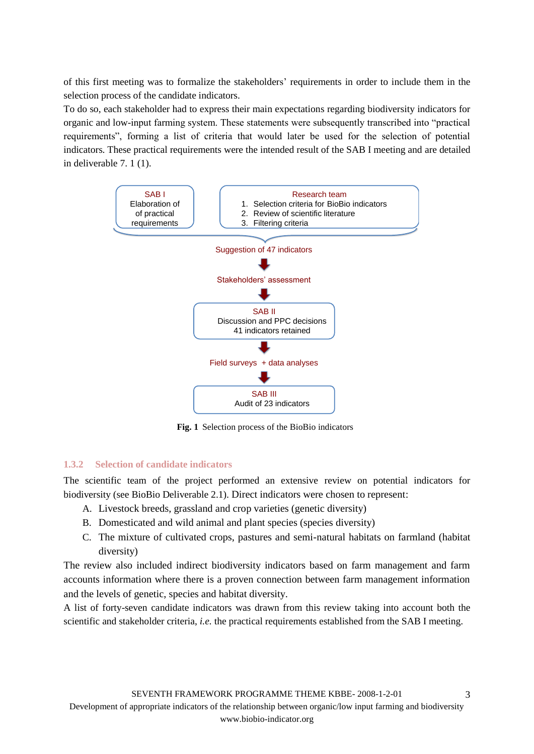of this first meeting was to formalize the stakeholders" requirements in order to include them in the selection process of the candidate indicators.

To do so, each stakeholder had to express their main expectations regarding biodiversity indicators for organic and low-input farming system. These statements were subsequently transcribed into "practical requirements", forming a list of criteria that would later be used for the selection of potential indicators. These practical requirements were the intended result of the SAB I meeting and are detailed in deliverable 7. 1 (1).



**Fig. 1** Selection process of the BioBio indicators

#### **1.3.2 Selection of candidate indicators**

The scientific team of the project performed an extensive review on potential indicators for biodiversity (see BioBio Deliverable 2.1). Direct indicators were chosen to represent:

- A. Livestock breeds, grassland and crop varieties (genetic diversity)
- B. Domesticated and wild animal and plant species (species diversity)
- C. The mixture of cultivated crops, pastures and semi-natural habitats on farmland (habitat diversity)

The review also included indirect biodiversity indicators based on farm management and farm accounts information where there is a proven connection between farm management information and the levels of genetic, species and habitat diversity.

A list of forty-seven candidate indicators was drawn from this review taking into account both the scientific and stakeholder criteria, *i.e.* the practical requirements established from the SAB I meeting.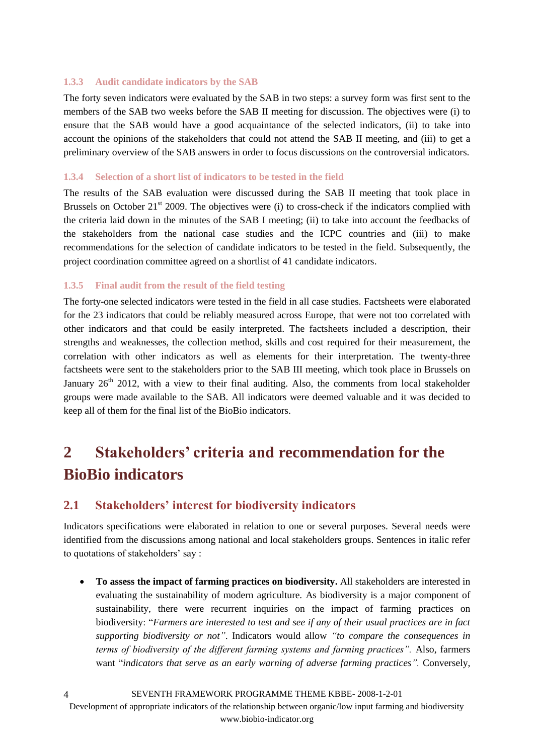#### **1.3.3 Audit candidate indicators by the SAB**

The forty seven indicators were evaluated by the SAB in two steps: a survey form was first sent to the members of the SAB two weeks before the SAB II meeting for discussion. The objectives were (i) to ensure that the SAB would have a good acquaintance of the selected indicators, (ii) to take into account the opinions of the stakeholders that could not attend the SAB II meeting, and (iii) to get a preliminary overview of the SAB answers in order to focus discussions on the controversial indicators.

#### **1.3.4 Selection of a short list of indicators to be tested in the field**

The results of the SAB evaluation were discussed during the SAB II meeting that took place in Brussels on October  $21<sup>st</sup>$  2009. The objectives were (i) to cross-check if the indicators complied with the criteria laid down in the minutes of the SAB I meeting; (ii) to take into account the feedbacks of the stakeholders from the national case studies and the ICPC countries and (iii) to make recommendations for the selection of candidate indicators to be tested in the field. Subsequently, the project coordination committee agreed on a shortlist of 41 candidate indicators.

#### **1.3.5 Final audit from the result of the field testing**

The forty-one selected indicators were tested in the field in all case studies. Factsheets were elaborated for the 23 indicators that could be reliably measured across Europe, that were not too correlated with other indicators and that could be easily interpreted. The factsheets included a description, their strengths and weaknesses, the collection method, skills and cost required for their measurement, the correlation with other indicators as well as elements for their interpretation. The twenty-three factsheets were sent to the stakeholders prior to the SAB III meeting, which took place in Brussels on January  $26<sup>th</sup>$  2012, with a view to their final auditing. Also, the comments from local stakeholder groups were made available to the SAB. All indicators were deemed valuable and it was decided to keep all of them for the final list of the BioBio indicators.

# **2 Stakeholders' criteria and recommendation for the BioBio indicators**

## **2.1 Stakeholders' interest for biodiversity indicators**

Indicators specifications were elaborated in relation to one or several purposes. Several needs were identified from the discussions among national and local stakeholders groups. Sentences in italic refer to quotations of stakeholders' say :

• To assess the impact of farming practices on biodiversity. All stakeholders are interested in evaluating the sustainability of modern agriculture. As biodiversity is a major component of sustainability, there were recurrent inquiries on the impact of farming practices on biodiversity: "*Farmers are interested to test and see if any of their usual practices are in fact supporting biodiversity or not"*. Indicators would allow *"to compare the consequences in terms of biodiversity of the different farming systems and farming practices".* Also, farmers want "*indicators that serve as an early warning of adverse farming practices".* Conversely,

SEVENTH FRAMEWORK PROGRAMME THEME KBBE- 2008-1-2-01 Development of appropriate indicators of the relationship between organic/low input farming and biodiversity www.biobio-indicator.org 4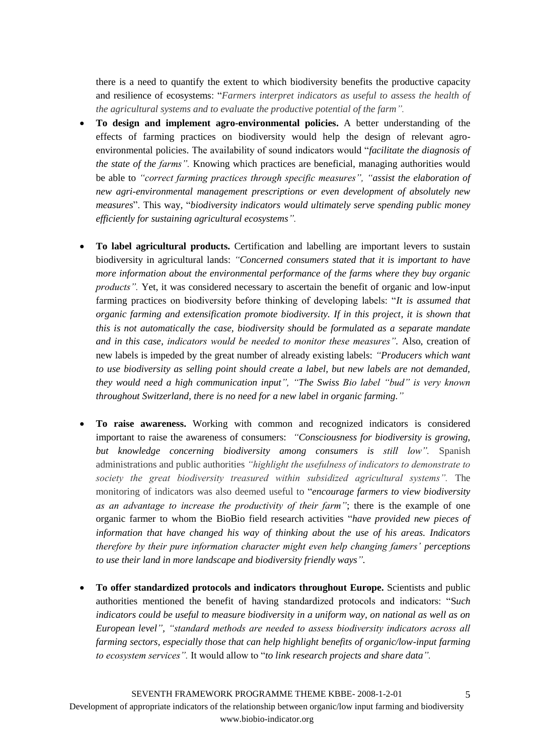there is a need to quantify the extent to which biodiversity benefits the productive capacity and resilience of ecosystems: "*Farmers interpret indicators as useful to assess the health of the agricultural systems and to evaluate the productive potential of the farm".* 

- **To design and implement agro-environmental policies.** A better understanding of the effects of farming practices on biodiversity would help the design of relevant agroenvironmental policies. The availability of sound indicators would "*facilitate the diagnosis of the state of the farms*". Knowing which practices are beneficial, managing authorities would be able to *"correct farming practices through specific measures", "assist the elaboration of new agri-environmental management prescriptions or even development of absolutely new measures*". This way, "*biodiversity indicators would ultimately serve spending public money efficiently for sustaining agricultural ecosystems".*
- **To label agricultural products.** Certification and labelling are important levers to sustain biodiversity in agricultural lands: *"Concerned consumers stated that it is important to have more information about the environmental performance of the farms where they buy organic products".* Yet, it was considered necessary to ascertain the benefit of organic and low-input farming practices on biodiversity before thinking of developing labels: "*It is assumed that organic farming and extensification promote biodiversity. If in this project, it is shown that this is not automatically the case, biodiversity should be formulated as a separate mandate and in this case, indicators would be needed to monitor these measures".* Also, creation of new labels is impeded by the great number of already existing labels: *"Producers which want to use biodiversity as selling point should create a label, but new labels are not demanded, they would need a high communication input", "The Swiss Bio label "bud" is very known throughout Switzerland, there is no need for a new label in organic farming."*
- **To raise awareness.** Working with common and recognized indicators is considered important to raise the awareness of consumers: *"Consciousness for biodiversity is growing, but knowledge concerning biodiversity among consumers is still low".* Spanish administrations and public authorities *"highlight the usefulness of indicators to demonstrate to society the great biodiversity treasured within subsidized agricultural systems".* The monitoring of indicators was also deemed useful to "*encourage farmers to view biodiversity as an advantage to increase the productivity of their farm"*; there is the example of one organic farmer to whom the BioBio field research activities "*have provided new pieces of information that have changed his way of thinking about the use of his areas. Indicators therefore by their pure information character might even help changing famers' perceptions to use their land in more landscape and biodiversity friendly ways".*
- **To offer standardized protocols and indicators throughout Europe.** Scientists and public authorities mentioned the benefit of having standardized protocols and indicators: "S*uch indicators could be useful to measure biodiversity in a uniform way, on national as well as on European level", "standard methods are needed to assess biodiversity indicators across all farming sectors, especially those that can help highlight benefits of organic/low-input farming to ecosystem services".* It would allow to "*to link research projects and share data".*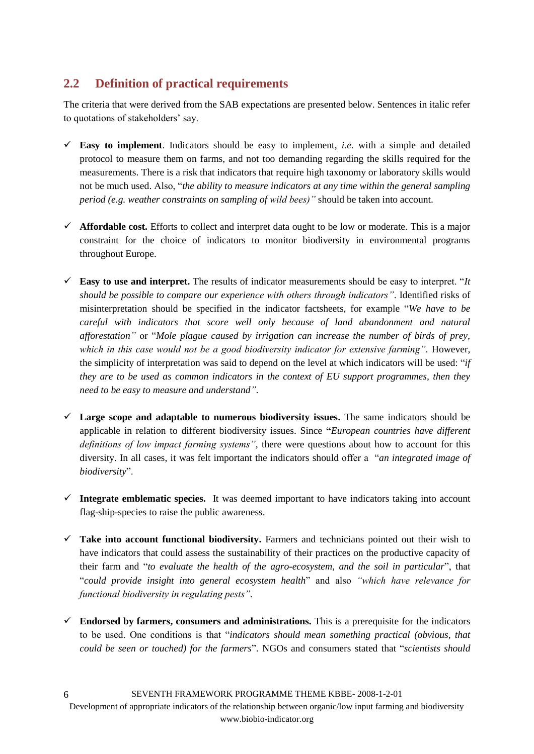# **2.2 Definition of practical requirements**

The criteria that were derived from the SAB expectations are presented below. Sentences in italic refer to quotations of stakeholders" say.

- $\checkmark$  **Easy to implement**. Indicators should be easy to implement, *i.e.* with a simple and detailed protocol to measure them on farms, and not too demanding regarding the skills required for the measurements. There is a risk that indicators that require high taxonomy or laboratory skills would not be much used. Also, "*the ability to measure indicators at any time within the general sampling period (e.g. weather constraints on sampling of wild bees)"* should be taken into account.
- $\checkmark$  Affordable cost. Efforts to collect and interpret data ought to be low or moderate. This is a major constraint for the choice of indicators to monitor biodiversity in environmental programs throughout Europe.
- **Easy to use and interpret.** The results of indicator measurements should be easy to interpret. " $It$ *should be possible to compare our experience with others through indicators"*. Identified risks of misinterpretation should be specified in the indicator factsheets, for example "*We have to be careful with indicators that score well only because of land abandonment and natural afforestation"* or "*Mole plague caused by irrigation can increase the number of birds of prey,*  which in this case would not be a good biodiversity indicator for extensive farming". However, the simplicity of interpretation was said to depend on the level at which indicators will be used: "*if they are to be used as common indicators in the context of EU support programmes, then they need to be easy to measure and understand"*.
- $\checkmark$  Large scope and adaptable to numerous biodiversity issues. The same indicators should be applicable in relation to different biodiversity issues. Since **"***European countries have different definitions of low impact farming systems"*, there were questions about how to account for this diversity. In all cases, it was felt important the indicators should offer a "*an integrated image of biodiversity*".
- **Integrate emblematic species.** It was deemed important to have indicators taking into account flag-ship-species to raise the public awareness.
- **Take into account functional biodiversity.** Farmers and technicians pointed out their wish to have indicators that could assess the sustainability of their practices on the productive capacity of their farm and "*to evaluate the health of the agro-ecosystem, and the soil in particular*", that "*could provide insight into general ecosystem health*" and also *"which have relevance for functional biodiversity in regulating pests".*
- $\checkmark$  **Endorsed by farmers, consumers and administrations.** This is a prerequisite for the indicators to be used. One conditions is that "*indicators should mean something practical (obvious, that could be seen or touched) for the farmers*". NGOs and consumers stated that "*scientists should*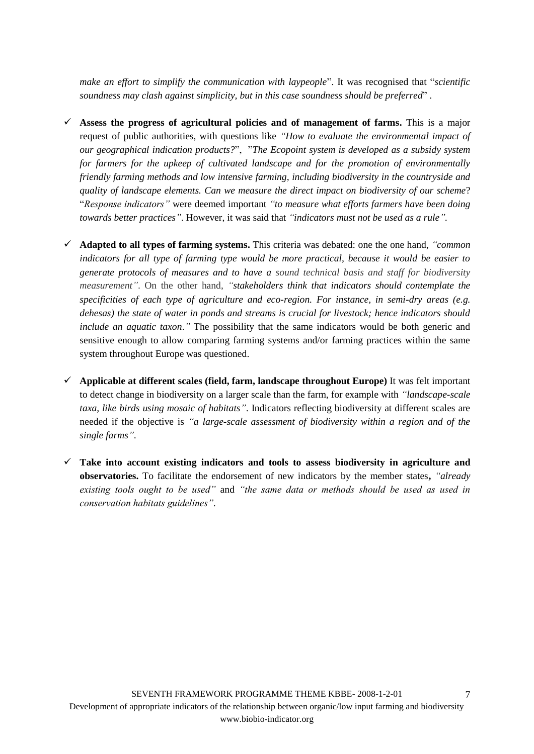*make an effort to simplify the communication with laypeople*". It was recognised that "*scientific soundness may clash against simplicity, but in this case soundness should be preferred*" .

- $\checkmark$  Assess the progress of agricultural policies and of management of farms. This is a major request of public authorities, with questions like *"How to evaluate the environmental impact of our geographical indication products?*", "*The Ecopoint system is developed as a subsidy system for farmers for the upkeep of cultivated landscape and for the promotion of environmentally friendly farming methods and low intensive farming, including biodiversity in the countryside and quality of landscape elements. Can we measure the direct impact on biodiversity of our scheme*? "*Response indicators"* were deemed important *"to measure what efforts farmers have been doing towards better practices"*. However, it was said that *"indicators must not be used as a rule".*
- **Adapted to all types of farming systems.** This criteria was debated: one the one hand, *"common indicators for all type of farming type would be more practical, because it would be easier to generate protocols of measures and to have a sound technical basis and staff for biodiversity measurement"*. On the other hand, *"stakeholders think that indicators should contemplate the specificities of each type of agriculture and eco-region. For instance, in semi-dry areas (e.g. dehesas) the state of water in ponds and streams is crucial for livestock; hence indicators should include an aquatic taxon*.*"* The possibility that the same indicators would be both generic and sensitive enough to allow comparing farming systems and/or farming practices within the same system throughout Europe was questioned.
- $\checkmark$  Applicable at different scales (field, farm, landscape throughout Europe) It was felt important to detect change in biodiversity on a larger scale than the farm, for example with *"landscape-scale taxa, like birds using mosaic of habitats"*. Indicators reflecting biodiversity at different scales are needed if the objective is *"a large-scale assessment of biodiversity within a region and of the single farms"*.
- **Take into account existing indicators and tools to assess biodiversity in agriculture and observatories.** To facilitate the endorsement of new indicators by the member states**,** *"already existing tools ought to be used"* and *"the same data or methods should be used as used in conservation habitats guidelines".*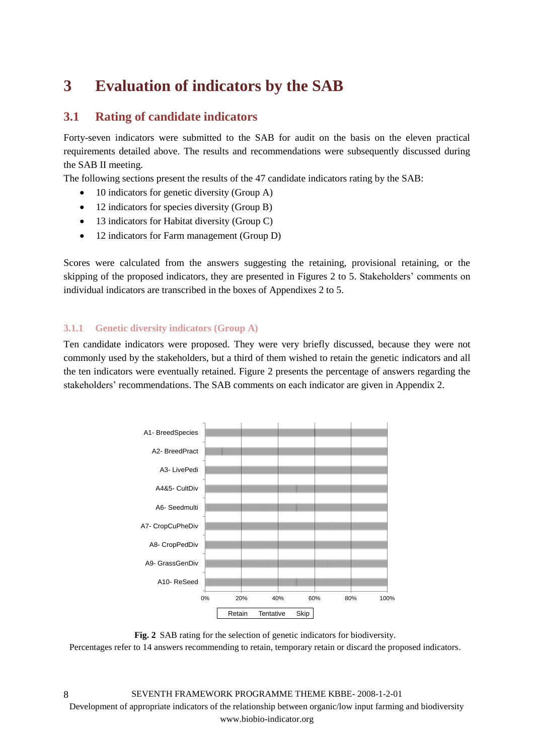# **3 Evaluation of indicators by the SAB**

# **3.1 Rating of candidate indicators**

Forty-seven indicators were submitted to the SAB for audit on the basis on the eleven practical requirements detailed above. The results and recommendations were subsequently discussed during the SAB II meeting.

The following sections present the results of the 47 candidate indicators rating by the SAB:

- 10 indicators for genetic diversity (Group A)
- 12 indicators for species diversity (Group B)
- 13 indicators for Habitat diversity (Group C)
- 12 indicators for Farm management (Group D)

Scores were calculated from the answers suggesting the retaining, provisional retaining, or the skipping of the proposed indicators, they are presented in Figures 2 to 5. Stakeholders" comments on individual indicators are transcribed in the boxes of Appendixes 2 to 5.

## **3.1.1 Genetic diversity indicators (Group A)**

Ten candidate indicators were proposed. They were very briefly discussed, because they were not commonly used by the stakeholders, but a third of them wished to retain the genetic indicators and all the ten indicators were eventually retained. Figure 2 presents the percentage of answers regarding the stakeholders' recommendations. The SAB comments on each indicator are given in Appendix 2.



**Fig. 2** SAB rating for the selection of genetic indicators for biodiversity. Percentages refer to 14 answers recommending to retain, temporary retain or discard the proposed indicators.

SEVENTH FRAMEWORK PROGRAMME THEME KBBE- 2008-1-2-01 Development of appropriate indicators of the relationship between organic/low input farming and biodiversity www.biobio-indicator.org 8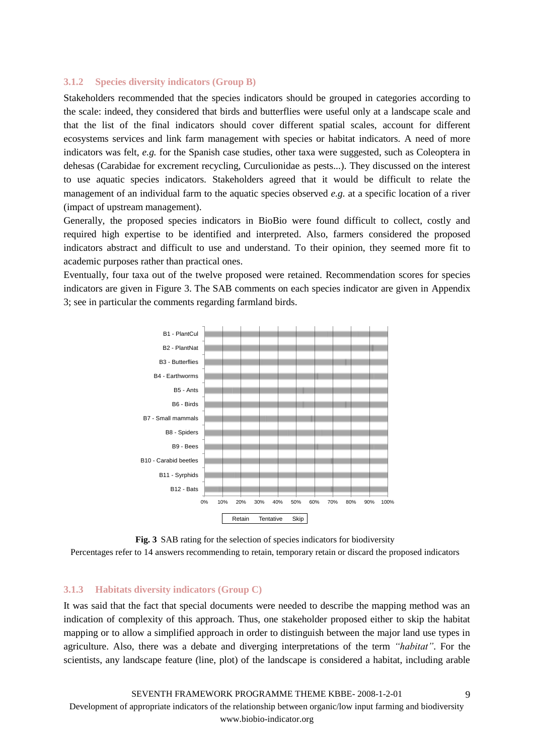#### **3.1.2 Species diversity indicators (Group B)**

Stakeholders recommended that the species indicators should be grouped in categories according to the scale: indeed, they considered that birds and butterflies were useful only at a landscape scale and that the list of the final indicators should cover different spatial scales, account for different ecosystems services and link farm management with species or habitat indicators. A need of more indicators was felt, *e.g.* for the Spanish case studies, other taxa were suggested, such as Coleoptera in dehesas (Carabidae for excrement recycling, Curculionidae as pests...). They discussed on the interest to use aquatic species indicators. Stakeholders agreed that it would be difficult to relate the management of an individual farm to the aquatic species observed *e.g.* at a specific location of a river (impact of upstream management).

Generally, the proposed species indicators in BioBio were found difficult to collect, costly and required high expertise to be identified and interpreted. Also, farmers considered the proposed indicators abstract and difficult to use and understand. To their opinion, they seemed more fit to academic purposes rather than practical ones.

Eventually, four taxa out of the twelve proposed were retained. Recommendation scores for species indicators are given in Figure 3. The SAB comments on each species indicator are given in Appendix 3; see in particular the comments regarding farmland birds.



**Fig. 3** SAB rating for the selection of species indicators for biodiversity

Percentages refer to 14 answers recommending to retain, temporary retain or discard the proposed indicators

#### **3.1.3 Habitats diversity indicators (Group C)**

It was said that the fact that special documents were needed to describe the mapping method was an indication of complexity of this approach. Thus, one stakeholder proposed either to skip the habitat mapping or to allow a simplified approach in order to distinguish between the major land use types in agriculture. Also, there was a debate and diverging interpretations of the term *"habitat"*. For the scientists, any landscape feature (line, plot) of the landscape is considered a habitat, including arable

SEVENTH FRAMEWORK PROGRAMME THEME KBBE- 2008-1-2-01 Development of appropriate indicators of the relationship between organic/low input farming and biodiversity www.biobio-indicator.org  $\mathbf Q$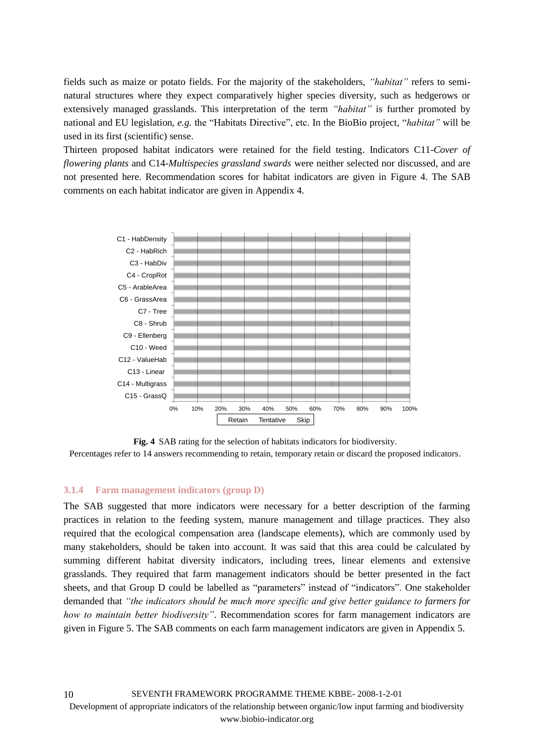fields such as maize or potato fields. For the majority of the stakeholders, *"habitat"* refers to seminatural structures where they expect comparatively higher species diversity, such as hedgerows or extensively managed grasslands. This interpretation of the term *"habitat"* is further promoted by national and EU legislation, *e.g.* the "Habitats Directive", etc. In the BioBio project, "*habitat"* will be used in its first (scientific) sense.

Thirteen proposed habitat indicators were retained for the field testing. Indicators C11-*Cover of flowering plants* and C14-*Multispecies grassland swards* were neither selected nor discussed, and are not presented here. Recommendation scores for habitat indicators are given in Figure 4. The SAB comments on each habitat indicator are given in Appendix 4.



**Fig. 4** SAB rating for the selection of habitats indicators for biodiversity. Percentages refer to 14 answers recommending to retain, temporary retain or discard the proposed indicators.

#### **3.1.4 Farm management indicators (group D)**

The SAB suggested that more indicators were necessary for a better description of the farming practices in relation to the feeding system, manure management and tillage practices. They also required that the ecological compensation area (landscape elements), which are commonly used by many stakeholders, should be taken into account. It was said that this area could be calculated by summing different habitat diversity indicators, including trees, linear elements and extensive grasslands. They required that farm management indicators should be better presented in the fact sheets, and that Group D could be labelled as "parameters" instead of "indicators". One stakeholder demanded that *"the indicators should be much more specific and give better guidance to farmers for how to maintain better biodiversity"*. Recommendation scores for farm management indicators are given in Figure 5. The SAB comments on each farm management indicators are given in Appendix 5.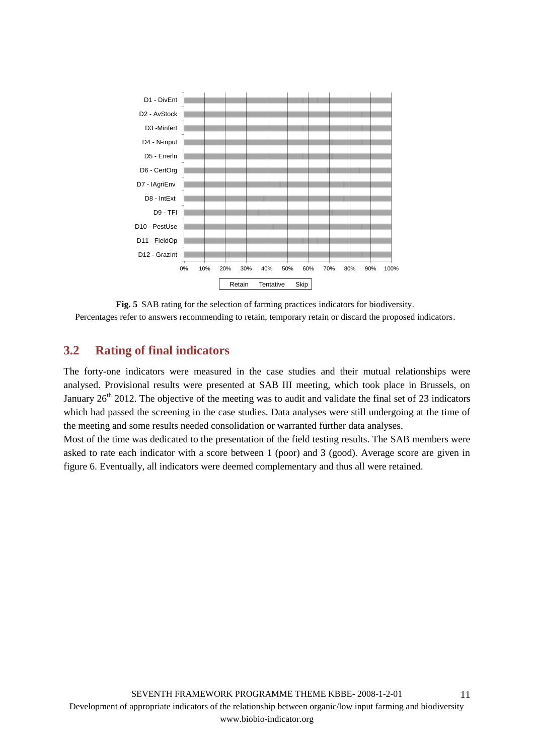

**Fig. 5** SAB rating for the selection of farming practices indicators for biodiversity. Percentages refer to answers recommending to retain, temporary retain or discard the proposed indicators.

# **3.2 Rating of final indicators**

The forty-one indicators were measured in the case studies and their mutual relationships were analysed. Provisional results were presented at SAB III meeting, which took place in Brussels, on January 26<sup>th</sup> 2012. The objective of the meeting was to audit and validate the final set of 23 indicators which had passed the screening in the case studies. Data analyses were still undergoing at the time of the meeting and some results needed consolidation or warranted further data analyses.

Most of the time was dedicated to the presentation of the field testing results. The SAB members were asked to rate each indicator with a score between 1 (poor) and 3 (good). Average score are given in figure 6. Eventually, all indicators were deemed complementary and thus all were retained.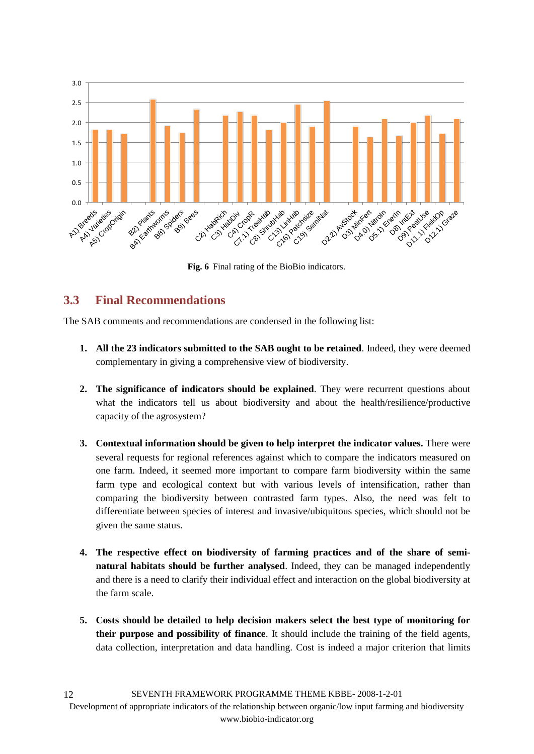

**Fig. 6** Final rating of the BioBio indicators.

# **3.3 Final Recommendations**

The SAB comments and recommendations are condensed in the following list:

- **1. All the 23 indicators submitted to the SAB ought to be retained**. Indeed, they were deemed complementary in giving a comprehensive view of biodiversity.
- **2. The significance of indicators should be explained**. They were recurrent questions about what the indicators tell us about biodiversity and about the health/resilience/productive capacity of the agrosystem?
- **3. Contextual information should be given to help interpret the indicator values.** There were several requests for regional references against which to compare the indicators measured on one farm. Indeed, it seemed more important to compare farm biodiversity within the same farm type and ecological context but with various levels of intensification, rather than comparing the biodiversity between contrasted farm types. Also, the need was felt to differentiate between species of interest and invasive/ubiquitous species, which should not be given the same status.
- **4. The respective effect on biodiversity of farming practices and of the share of seminatural habitats should be further analysed**. Indeed, they can be managed independently and there is a need to clarify their individual effect and interaction on the global biodiversity at the farm scale.
- **5. Costs should be detailed to help decision makers select the best type of monitoring for their purpose and possibility of finance**. It should include the training of the field agents, data collection, interpretation and data handling. Cost is indeed a major criterion that limits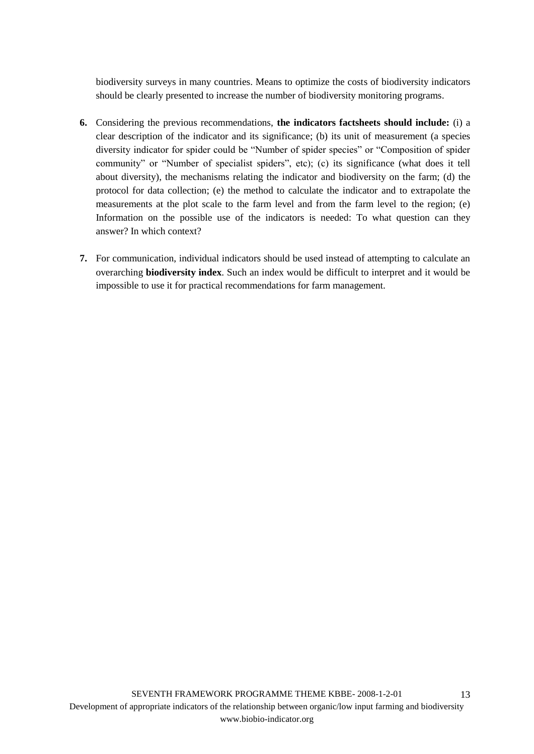biodiversity surveys in many countries. Means to optimize the costs of biodiversity indicators should be clearly presented to increase the number of biodiversity monitoring programs.

- **6.** Considering the previous recommendations, **the indicators factsheets should include:** (i) a clear description of the indicator and its significance; (b) its unit of measurement (a species diversity indicator for spider could be "Number of spider species" or "Composition of spider community" or "Number of specialist spiders", etc); (c) its significance (what does it tell about diversity), the mechanisms relating the indicator and biodiversity on the farm; (d) the protocol for data collection; (e) the method to calculate the indicator and to extrapolate the measurements at the plot scale to the farm level and from the farm level to the region; (e) Information on the possible use of the indicators is needed: To what question can they answer? In which context?
- **7.** For communication, individual indicators should be used instead of attempting to calculate an overarching **biodiversity index**. Such an index would be difficult to interpret and it would be impossible to use it for practical recommendations for farm management.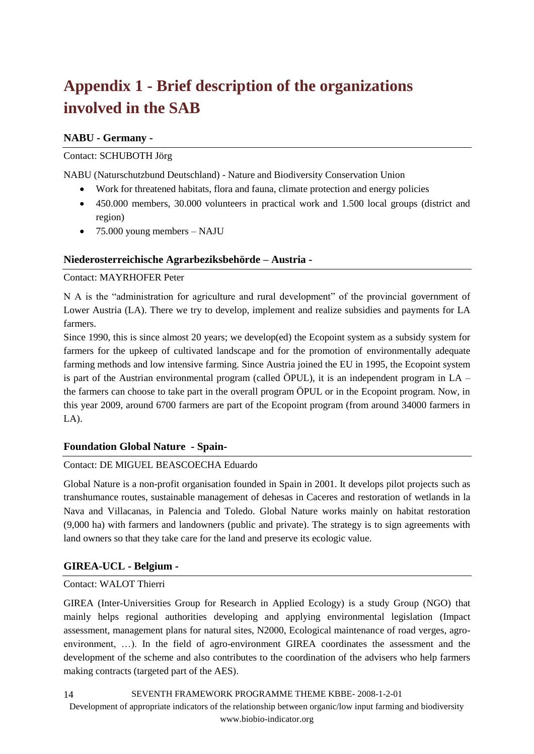# **Appendix 1 - Brief description of the organizations involved in the SAB**

## **NABU - Germany -**

#### Contact: SCHUBOTH Jörg

NABU (Naturschutzbund Deutschland) - Nature and Biodiversity Conservation Union

- Work for threatened habitats, flora and fauna, climate protection and energy policies
- 450.000 members, 30.000 volunteers in practical work and 1.500 local groups (district and region)
- 75.000 young members NAJU

### **Niederosterreichische Agrarbeziksbehörde – Austria -**

#### Contact: MAYRHOFER Peter

N A is the "administration for agriculture and rural development" of the provincial government of Lower Austria (LA). There we try to develop, implement and realize subsidies and payments for LA farmers.

Since 1990, this is since almost 20 years; we develop(ed) the Ecopoint system as a subsidy system for farmers for the upkeep of cultivated landscape and for the promotion of environmentally adequate farming methods and low intensive farming. Since Austria joined the EU in 1995, the Ecopoint system is part of the Austrian environmental program (called  $\ddot{O}PUL$ ), it is an independent program in  $LA$  – the farmers can choose to take part in the overall program ÖPUL or in the Ecopoint program. Now, in this year 2009, around 6700 farmers are part of the Ecopoint program (from around 34000 farmers in LA).

# **Foundation Global Nature - Spain-**

### Contact: DE MIGUEL BEASCOECHA Eduardo

Global Nature is a non-profit organisation founded in Spain in 2001. It develops pilot projects such as transhumance routes, sustainable management of dehesas in Caceres and restoration of wetlands in la Nava and Villacanas, in Palencia and Toledo. Global Nature works mainly on habitat restoration (9,000 ha) with farmers and landowners (public and private). The strategy is to sign agreements with land owners so that they take care for the land and preserve its ecologic value.

# **GIREA-UCL - Belgium -**

### Contact: WALOT Thierri

GIREA (Inter-Universities Group for Research in Applied Ecology) is a study Group (NGO) that mainly helps regional authorities developing and applying environmental legislation (Impact assessment, management plans for natural sites, N2000, Ecological maintenance of road verges, agroenvironment, …). In the field of agro-environment GIREA coordinates the assessment and the development of the scheme and also contributes to the coordination of the advisers who help farmers making contracts (targeted part of the AES).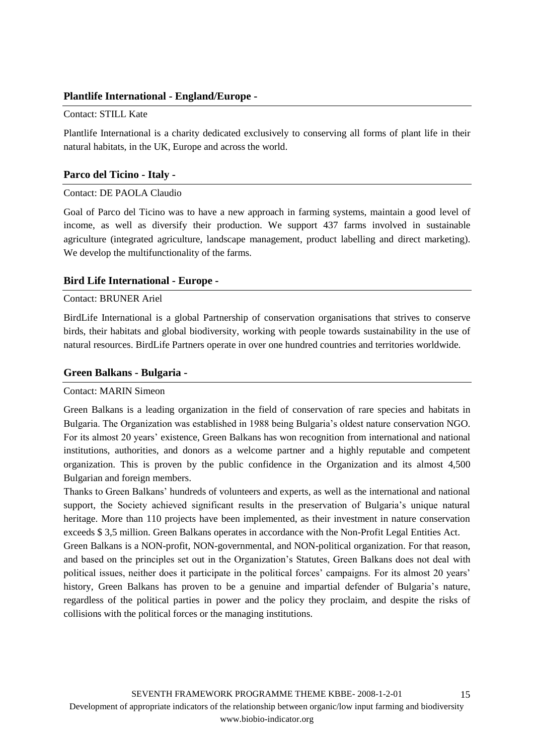#### **Plantlife International - England/Europe -**

#### Contact: STILL Kate

Plantlife International is a charity dedicated exclusively to conserving all forms of plant life in their natural habitats, in the UK, Europe and across the world.

#### **Parco del Ticino - Italy -**

#### Contact: DE PAOLA Claudio

Goal of Parco del Ticino was to have a new approach in farming systems, maintain a good level of income, as well as diversify their production. We support 437 farms involved in sustainable agriculture (integrated agriculture, landscape management, product labelling and direct marketing). We develop the multifunctionality of the farms.

#### **Bird Life International - Europe -**

#### Contact: BRUNER Ariel

BirdLife International is a global Partnership of conservation organisations that strives to conserve birds, their habitats and global biodiversity, working with people towards sustainability in the use of natural resources. BirdLife Partners operate in over one hundred countries and territories worldwide.

#### **Green Balkans - Bulgaria -**

#### Contact: MARIN Simeon

Green Balkans is a leading organization in the field of conservation of rare species and habitats in Bulgaria. The Organization was established in 1988 being Bulgaria"s oldest nature conservation NGO. For its almost 20 years" existence, Green Balkans has won recognition from international and national institutions, authorities, and donors as a welcome partner and a highly reputable and competent organization. This is proven by the public confidence in the Organization and its almost 4,500 Bulgarian and foreign members.

Thanks to Green Balkans" hundreds of volunteers and experts, as well as the international and national support, the Society achieved significant results in the preservation of Bulgaria's unique natural heritage. More than 110 projects have been implemented, as their investment in nature conservation exceeds \$ 3,5 million. Green Balkans operates in accordance with the Non-Profit Legal Entities Act.

Green Balkans is a NON-profit, NON-governmental, and NON-political organization. For that reason, and based on the principles set out in the Organization"s Statutes, Green Balkans does not deal with political issues, neither does it participate in the political forces' campaigns. For its almost 20 years' history, Green Balkans has proven to be a genuine and impartial defender of Bulgaria's nature, regardless of the political parties in power and the policy they proclaim, and despite the risks of collisions with the political forces or the managing institutions.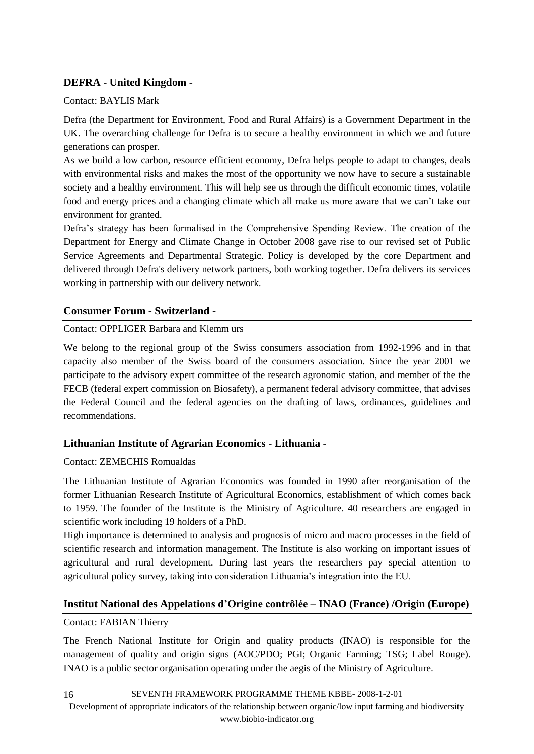## **DEFRA - United Kingdom -**

Contact: BAYLIS Mark

Defra (the Department for Environment, Food and Rural Affairs) is a Government Department in the UK. The overarching challenge for Defra is to secure a healthy environment in which we and future generations can prosper.

As we build a low carbon, resource efficient economy, Defra helps people to adapt to changes, deals with environmental risks and makes the most of the opportunity we now have to secure a sustainable society and a healthy environment. This will help see us through the difficult economic times, volatile food and energy prices and a changing climate which all make us more aware that we can"t take our environment for granted.

Defra"s strategy has been formalised in the Comprehensive Spending Review. The creation of the Department for Energy and Climate Change in October 2008 gave rise to our revised set of Public Service Agreements and Departmental Strategic. Policy is developed by the core Department and delivered through Defra's delivery network partners, both working together. Defra delivers its services working in partnership with our delivery network.

### **Consumer Forum - Switzerland -**

Contact: OPPLIGER Barbara and Klemm urs

We belong to the regional group of the Swiss consumers association from 1992-1996 and in that capacity also member of the Swiss board of the consumers association. Since the year 2001 we participate to the advisory expert committee of the research agronomic station, and member of the the FECB (federal expert commission on Biosafety), a permanent federal advisory committee, that advises the Federal Council and the federal agencies on the drafting of laws, ordinances, guidelines and recommendations.

# **Lithuanian Institute of Agrarian Economics - Lithuania -**

#### Contact: ZEMECHIS Romualdas

The Lithuanian Institute of Agrarian Economics was founded in 1990 after reorganisation of the former Lithuanian Research Institute of Agricultural Economics, establishment of which comes back to 1959. The founder of the Institute is the Ministry of Agriculture. 40 researchers are engaged in scientific work including 19 holders of a PhD.

High importance is determined to analysis and prognosis of micro and macro processes in the field of scientific research and information management. The Institute is also working on important issues of agricultural and rural development. During last years the researchers pay special attention to agricultural policy survey, taking into consideration Lithuania"s integration into the EU.

# **Institut National des Appelations d'Origine contrôlée – INAO (France) /Origin (Europe)**

### Contact: FABIAN Thierry

The French National Institute for Origin and quality products (INAO) is responsible for the management of quality and origin signs (AOC/PDO; PGI; Organic Farming; TSG; Label Rouge). INAO is a public sector organisation operating under the aegis of the Ministry of Agriculture.

SEVENTH FRAMEWORK PROGRAMME THEME KBBE- 2008-1-2-01 Development of appropriate indicators of the relationship between organic/low input farming and biodiversity www.biobio-indicator.org 16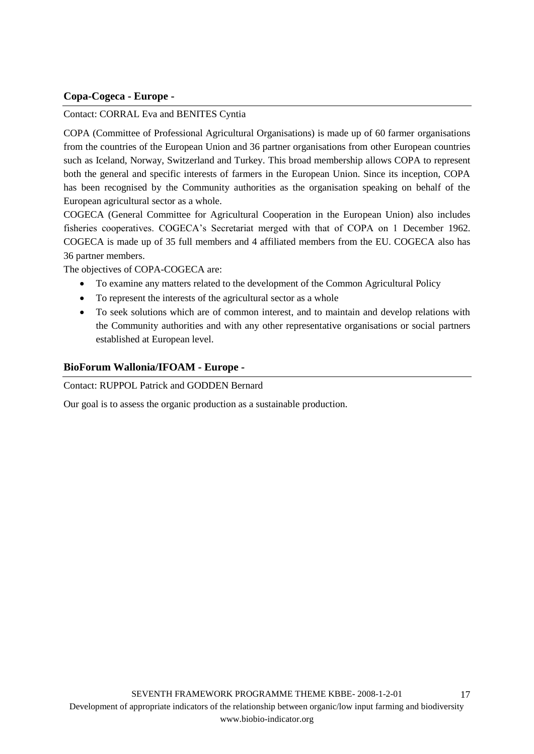## **Copa-Cogeca - Europe -**

#### Contact: CORRAL Eva and BENITES Cyntia

COPA (Committee of Professional Agricultural Organisations) is made up of 60 farmer organisations from the countries of the European Union and 36 partner organisations from other European countries such as Iceland, Norway, Switzerland and Turkey. This broad membership allows COPA to represent both the general and specific interests of farmers in the European Union. Since its inception, COPA has been recognised by the Community authorities as the organisation speaking on behalf of the European agricultural sector as a whole.

COGECA (General Committee for Agricultural Cooperation in the European Union) also includes fisheries cooperatives. COGECA"s Secretariat merged with that of COPA on 1 December 1962. COGECA is made up of 35 full members and 4 affiliated members from the EU. COGECA also has 36 partner members.

The objectives of COPA-COGECA are:

- To examine any matters related to the development of the Common Agricultural Policy
- To represent the interests of the agricultural sector as a whole
- To seek solutions which are of common interest, and to maintain and develop relations with the Community authorities and with any other representative organisations or social partners established at European level.

### **BioForum Wallonia/IFOAM - Europe -**

Contact: RUPPOL Patrick and GODDEN Bernard

Our goal is to assess the organic production as a sustainable production.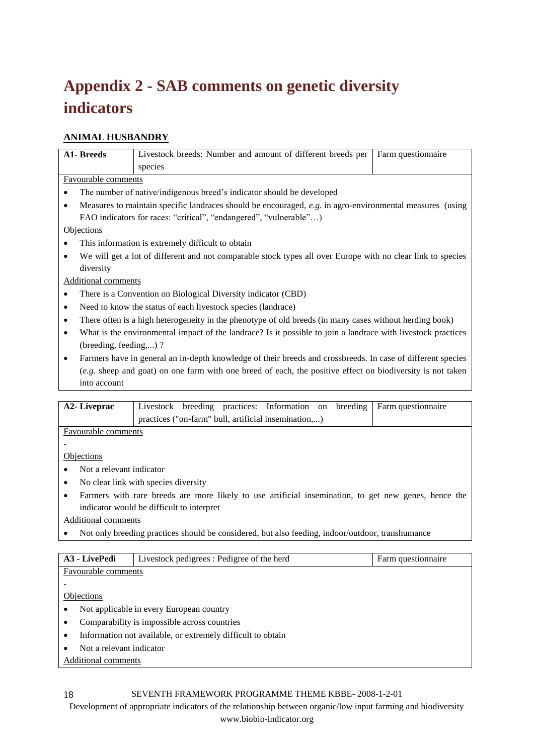# **Appendix 2 - SAB comments on genetic diversity indicators**

# **ANIMAL HUSBANDRY**

| A1-Breeds                                            | Livestock breeds: Number and amount of different breeds per<br>Farm questionnaire                            |  |  |  |
|------------------------------------------------------|--------------------------------------------------------------------------------------------------------------|--|--|--|
|                                                      | species                                                                                                      |  |  |  |
| Favourable comments                                  |                                                                                                              |  |  |  |
|                                                      | The number of native/indigenous breed's indicator should be developed                                        |  |  |  |
| ٠                                                    | Measures to maintain specific landraces should be encouraged, $e.g.$ in agro-environmental measures (using   |  |  |  |
|                                                      | FAO indicators for races: "critical", "endangered", "vulnerable")                                            |  |  |  |
| Objections                                           |                                                                                                              |  |  |  |
|                                                      | This information is extremely difficult to obtain                                                            |  |  |  |
|                                                      | We will get a lot of different and not comparable stock types all over Europe with no clear link to species  |  |  |  |
| diversity                                            |                                                                                                              |  |  |  |
| <b>Additional comments</b>                           |                                                                                                              |  |  |  |
|                                                      | There is a Convention on Biological Diversity indicator (CBD)                                                |  |  |  |
| $\bullet$                                            | Need to know the status of each livestock species (landrace)                                                 |  |  |  |
| ٠                                                    | There often is a high heterogeneity in the phenotype of old breeds (in many cases without herding book)      |  |  |  |
| $\bullet$                                            | What is the environmental impact of the landrace? Is it possible to join a landrace with livestock practices |  |  |  |
|                                                      | (breeding, feeding,)?                                                                                        |  |  |  |
| ٠                                                    | Farmers have in general an in-depth knowledge of their breeds and crossbreeds. In case of different species  |  |  |  |
|                                                      | (e.g. sheep and goat) on one farm with one breed of each, the positive effect on biodiversity is not taken   |  |  |  |
| into account                                         |                                                                                                              |  |  |  |
|                                                      |                                                                                                              |  |  |  |
| A2-Liveprac                                          | breeding practices: Information on<br>Livestock<br>breeding<br>Farm questionnaire                            |  |  |  |
| practices ("on-farm" bull, artificial insemination,) |                                                                                                              |  |  |  |
| Favourable comments                                  |                                                                                                              |  |  |  |
|                                                      |                                                                                                              |  |  |  |

Objections

18

- Not a relevant indicator
- No clear link with species diversity
- Farmers with rare breeds are more likely to use artificial insemination, to get new genes, hence the indicator would be difficult to interpret

Additional comments

Not only breeding practices should be considered, but also feeding, indoor/outdoor, transhumance

| A3 - LivePedi                                                            | Livestock pedigrees : Pedigree of the herd | Farm questionnaire |  |
|--------------------------------------------------------------------------|--------------------------------------------|--------------------|--|
| Favourable comments                                                      |                                            |                    |  |
|                                                                          |                                            |                    |  |
| <b>Objections</b>                                                        |                                            |                    |  |
| $\bullet$                                                                | Not applicable in every European country   |                    |  |
| Comparability is impossible across countries                             |                                            |                    |  |
| Information not available, or extremely difficult to obtain<br>$\bullet$ |                                            |                    |  |
| Not a relevant indicator                                                 |                                            |                    |  |
| Additional comments                                                      |                                            |                    |  |

#### SEVENTH FRAMEWORK PROGRAMME THEME KBBE- 2008-1-2-01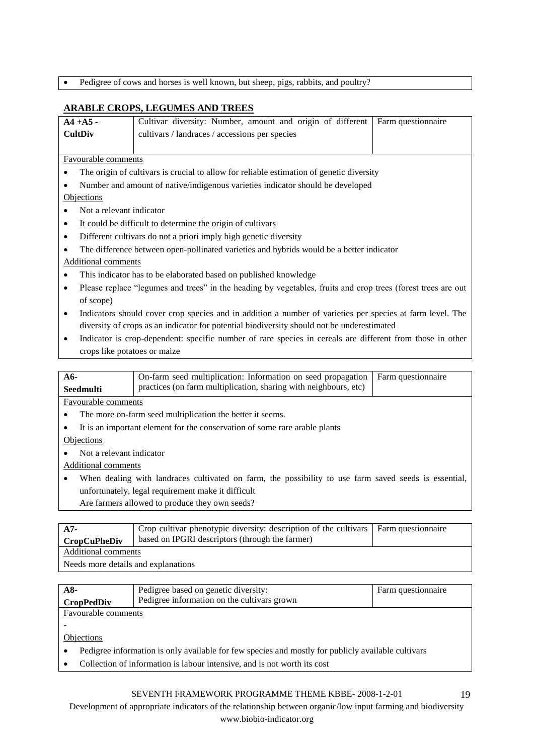• Pedigree of cows and horses is well known, but sheep, pigs, rabbits, and poultry?

## **ARABLE CROPS, LEGUMES AND TREES**

|                | $A4 + A5 -$                                                                                               | Cultivar diversity: Number, amount and origin of different                                                   | Farm questionnaire |
|----------------|-----------------------------------------------------------------------------------------------------------|--------------------------------------------------------------------------------------------------------------|--------------------|
| <b>CultDiv</b> |                                                                                                           | cultivars / landraces / accessions per species                                                               |                    |
|                |                                                                                                           |                                                                                                              |                    |
|                | <b>Favourable comments</b>                                                                                |                                                                                                              |                    |
|                |                                                                                                           | The origin of cultivars is crucial to allow for reliable estimation of genetic diversity                     |                    |
|                |                                                                                                           | Number and amount of native/indigenous varieties indicator should be developed                               |                    |
|                | Objections                                                                                                |                                                                                                              |                    |
|                | Not a relevant indicator                                                                                  |                                                                                                              |                    |
| ٠              |                                                                                                           | It could be difficult to determine the origin of cultivars                                                   |                    |
| ٠              | Different cultivars do not a priori imply high genetic diversity                                          |                                                                                                              |                    |
|                |                                                                                                           | The difference between open-pollinated varieties and hybrids would be a better indicator                     |                    |
|                | <b>Additional comments</b>                                                                                |                                                                                                              |                    |
|                |                                                                                                           | This indicator has to be elaborated based on published knowledge                                             |                    |
| ٠              |                                                                                                           | Please replace "legumes and trees" in the heading by vegetables, fruits and crop trees (forest trees are out |                    |
|                | of scope)                                                                                                 |                                                                                                              |                    |
| $\bullet$      | Indicators should cover crop species and in addition a number of varieties per species at farm level. The |                                                                                                              |                    |
|                | diversity of crops as an indicator for potential biodiversity should not be underestimated                |                                                                                                              |                    |
| ٠              |                                                                                                           | Indicator is crop-dependent: specific number of rare species in cereals are different from those in other    |                    |
|                | crops like potatoes or maize                                                                              |                                                                                                              |                    |

| $A6-$ |                                                                                                       | On-farm seed multiplication: Information on seed propagation               | Farm questionnaire |  |
|-------|-------------------------------------------------------------------------------------------------------|----------------------------------------------------------------------------|--------------------|--|
|       | <b>Seedmulti</b>                                                                                      | practices (on farm multiplication, sharing with neighbours, etc)           |                    |  |
|       | Favourable comments                                                                                   |                                                                            |                    |  |
|       |                                                                                                       | The more on-farm seed multiplication the better it seems.                  |                    |  |
|       |                                                                                                       | It is an important element for the conservation of some rare arable plants |                    |  |
|       | <b>Objections</b>                                                                                     |                                                                            |                    |  |
|       | Not a relevant indicator                                                                              |                                                                            |                    |  |
|       | Additional comments                                                                                   |                                                                            |                    |  |
|       | When dealing with landraces cultivated on farm, the possibility to use farm saved seeds is essential, |                                                                            |                    |  |
|       | unfortunately, legal requirement make it difficult                                                    |                                                                            |                    |  |
|       | Are farmers allowed to produce they own seeds?                                                        |                                                                            |                    |  |

| A7-                                 | Crop cultivar phenotypic diversity: description of the cultivars   Farm questionnaire |  |  |  |
|-------------------------------------|---------------------------------------------------------------------------------------|--|--|--|
| <b>CropCuPheDiv</b>                 | based on IPGRI descriptors (through the farmer)                                       |  |  |  |
| Additional comments                 |                                                                                       |  |  |  |
| Needs more details and explanations |                                                                                       |  |  |  |

| $A8-$                                                                                              | Pedigree based on genetic diversity:                                     | Farm questionnaire |  |
|----------------------------------------------------------------------------------------------------|--------------------------------------------------------------------------|--------------------|--|
| <b>CropPedDiv</b>                                                                                  | Pedigree information on the cultivars grown                              |                    |  |
| Favourable comments                                                                                |                                                                          |                    |  |
|                                                                                                    |                                                                          |                    |  |
| <b>Objections</b>                                                                                  |                                                                          |                    |  |
| Pedigree information is only available for few species and mostly for publicly available cultivars |                                                                          |                    |  |
|                                                                                                    | Collection of information is labour intensive, and is not worth its cost |                    |  |

#### SEVENTH FRAMEWORK PROGRAMME THEME KBBE- 2008-1-2-01

19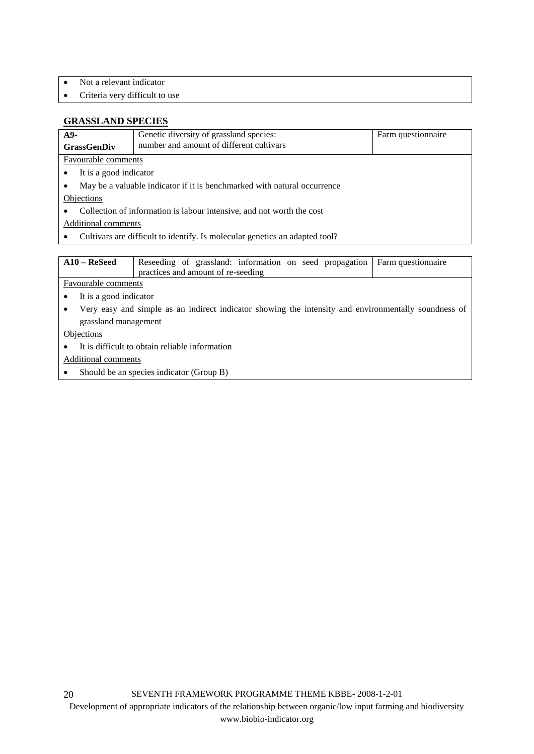- Not a relevant indicator
- Criteria very difficult to use

#### **GRASSLAND SPECIES**

| $A9-$                                                                 | Genetic diversity of grassland species:                                     | Farm questionnaire |  |  |
|-----------------------------------------------------------------------|-----------------------------------------------------------------------------|--------------------|--|--|
| <b>GrassGenDiv</b>                                                    | number and amount of different cultivars                                    |                    |  |  |
| <b>Favourable comments</b>                                            |                                                                             |                    |  |  |
|                                                                       | It is a good indicator                                                      |                    |  |  |
|                                                                       | May be a valuable indicator if it is benchmarked with natural occurrence    |                    |  |  |
| <b>Objections</b>                                                     |                                                                             |                    |  |  |
| Collection of information is labour intensive, and not worth the cost |                                                                             |                    |  |  |
| Additional comments                                                   |                                                                             |                    |  |  |
|                                                                       | Cultivars are difficult to identify. Is molecular genetics an adapted tool? |                    |  |  |

| $A10 - ReSeed$                                                                                       | Reseeding of grassland: information on seed propagation |  |  |  | Farm questionnaire |
|------------------------------------------------------------------------------------------------------|---------------------------------------------------------|--|--|--|--------------------|
|                                                                                                      | practices and amount of re-seeding                      |  |  |  |                    |
| <b>Favourable comments</b>                                                                           |                                                         |  |  |  |                    |
| It is a good indicator                                                                               |                                                         |  |  |  |                    |
| Very easy and simple as an indirect indicator showing the intensity and environmentally soundness of |                                                         |  |  |  |                    |
|                                                                                                      | grassland management                                    |  |  |  |                    |
| <b>Objections</b>                                                                                    |                                                         |  |  |  |                    |
| It is difficult to obtain reliable information                                                       |                                                         |  |  |  |                    |
| Additional comments                                                                                  |                                                         |  |  |  |                    |
| Should be an species indicator (Group B)                                                             |                                                         |  |  |  |                    |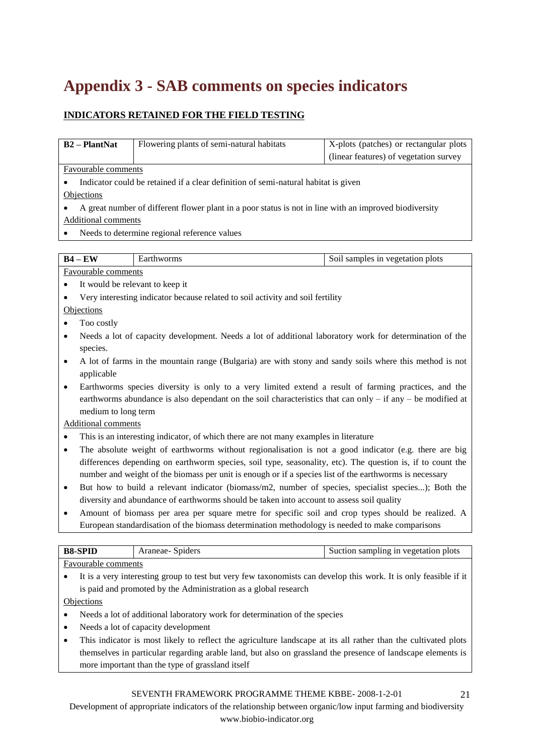# **Appendix 3 - SAB comments on species indicators**

# **INDICATORS RETAINED FOR THE FIELD TESTING**

| $\overline{B2-Plant}$ Nat                                                                                                     | Flowering plants of semi-natural habitats                                                                      | X-plots (patches) or rectangular plots |  |  |  |
|-------------------------------------------------------------------------------------------------------------------------------|----------------------------------------------------------------------------------------------------------------|----------------------------------------|--|--|--|
|                                                                                                                               |                                                                                                                | (linear features) of vegetation survey |  |  |  |
|                                                                                                                               | Favourable comments                                                                                            |                                        |  |  |  |
|                                                                                                                               | Indicator could be retained if a clear definition of semi-natural habitat is given                             |                                        |  |  |  |
| Objections                                                                                                                    |                                                                                                                |                                        |  |  |  |
|                                                                                                                               | A great number of different flower plant in a poor status is not in line with an improved biodiversity         |                                        |  |  |  |
| <b>Additional comments</b>                                                                                                    |                                                                                                                |                                        |  |  |  |
|                                                                                                                               | Needs to determine regional reference values                                                                   |                                        |  |  |  |
|                                                                                                                               |                                                                                                                |                                        |  |  |  |
| $B4 - EW$                                                                                                                     | Earthworms                                                                                                     | Soil samples in vegetation plots       |  |  |  |
| <b>Favourable comments</b>                                                                                                    |                                                                                                                |                                        |  |  |  |
| $\bullet$                                                                                                                     | It would be relevant to keep it                                                                                |                                        |  |  |  |
| $\bullet$                                                                                                                     | Very interesting indicator because related to soil activity and soil fertility                                 |                                        |  |  |  |
| Objections                                                                                                                    |                                                                                                                |                                        |  |  |  |
| Too costly<br>$\bullet$                                                                                                       |                                                                                                                |                                        |  |  |  |
| $\bullet$                                                                                                                     | Needs a lot of capacity development. Needs a lot of additional laboratory work for determination of the        |                                        |  |  |  |
| species.                                                                                                                      |                                                                                                                |                                        |  |  |  |
| $\bullet$                                                                                                                     | A lot of farms in the mountain range (Bulgaria) are with stony and sandy soils where this method is not        |                                        |  |  |  |
| applicable                                                                                                                    |                                                                                                                |                                        |  |  |  |
| ٠                                                                                                                             | Earthworms species diversity is only to a very limited extend a result of farming practices, and the           |                                        |  |  |  |
|                                                                                                                               | earthworms abundance is also dependant on the soil characteristics that can only $-$ if any $-$ be modified at |                                        |  |  |  |
| medium to long term                                                                                                           |                                                                                                                |                                        |  |  |  |
| Additional comments                                                                                                           |                                                                                                                |                                        |  |  |  |
| $\bullet$                                                                                                                     | This is an interesting indicator, of which there are not many examples in literature                           |                                        |  |  |  |
| $\bullet$                                                                                                                     | The absolute weight of earthworms without regionalisation is not a good indicator (e.g. there are big          |                                        |  |  |  |
|                                                                                                                               | differences depending on earthworm species, soil type, seasonality, etc). The question is, if to count the     |                                        |  |  |  |
|                                                                                                                               | number and weight of the biomass per unit is enough or if a species list of the earthworms is necessary        |                                        |  |  |  |
| $\bullet$                                                                                                                     | But how to build a relevant indicator (biomass/m2, number of species, specialist species); Both the            |                                        |  |  |  |
|                                                                                                                               | diversity and abundance of earthworms should be taken into account to assess soil quality                      |                                        |  |  |  |
| $\bullet$                                                                                                                     | Amount of biomass per area per square metre for specific soil and crop types should be realized. A             |                                        |  |  |  |
|                                                                                                                               | European standardisation of the biomass determination methodology is needed to make comparisons                |                                        |  |  |  |
|                                                                                                                               |                                                                                                                |                                        |  |  |  |
| <b>B8-SPID</b>                                                                                                                | Araneae- Spiders                                                                                               | Suction sampling in vegetation plots   |  |  |  |
| <b>Favourable comments</b>                                                                                                    |                                                                                                                |                                        |  |  |  |
| It is a very interesting group to test but very few taxonomists can develop this work. It is only feasible if it<br>$\bullet$ |                                                                                                                |                                        |  |  |  |
| is paid and promoted by the Administration as a global research                                                               |                                                                                                                |                                        |  |  |  |
| Objections                                                                                                                    |                                                                                                                |                                        |  |  |  |
| $\bullet$                                                                                                                     | Needs a lot of additional laboratory work for determination of the species                                     |                                        |  |  |  |
| ٠                                                                                                                             | Needs a lot of capacity development                                                                            |                                        |  |  |  |
| This indicator is most likely to reflect the agriculture landscape at its all rather than the cultivated plots<br>٠           |                                                                                                                |                                        |  |  |  |
| themselves in particular regarding arable land, but also on grassland the presence of landscape elements is                   |                                                                                                                |                                        |  |  |  |

more important than the type of grassland itself

#### SEVENTH FRAMEWORK PROGRAMME THEME KBBE- 2008-1-2-01

21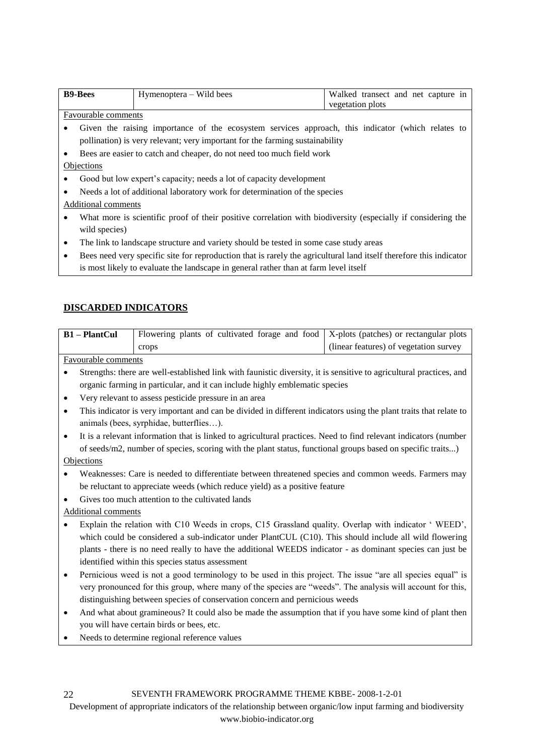| <b>B9-Bees</b>                                                                                               | Hymenoptera – Wild bees                                                                           | Walked transect and net capture in |  |  |
|--------------------------------------------------------------------------------------------------------------|---------------------------------------------------------------------------------------------------|------------------------------------|--|--|
|                                                                                                              |                                                                                                   | vegetation plots                   |  |  |
| Favourable comments                                                                                          |                                                                                                   |                                    |  |  |
|                                                                                                              | Given the raising importance of the ecosystem services approach, this indicator (which relates to |                                    |  |  |
|                                                                                                              | pollination) is very relevant; very important for the farming sustainability                      |                                    |  |  |
|                                                                                                              | Bees are easier to catch and cheaper, do not need too much field work                             |                                    |  |  |
| <b>Objections</b>                                                                                            |                                                                                                   |                                    |  |  |
|                                                                                                              | Good but low expert's capacity; needs a lot of capacity development                               |                                    |  |  |
|                                                                                                              | Needs a lot of additional laboratory work for determination of the species                        |                                    |  |  |
| Additional comments                                                                                          |                                                                                                   |                                    |  |  |
| What more is scientific proof of their positive correlation with biodiversity (especially if considering the |                                                                                                   |                                    |  |  |
| wild species)                                                                                                |                                                                                                   |                                    |  |  |
|                                                                                                              |                                                                                                   |                                    |  |  |

- The link to landscape structure and variety should be tested in some case study areas
- Bees need very specific site for reproduction that is rarely the agricultural land itself therefore this indicator is most likely to evaluate the landscape in general rather than at farm level itself

## **DISCARDED INDICATORS**

| <b>B1-PlantCul</b> | Flowering plants of cultivated forage and food   X-plots (patches) or rectangular plots |                                        |
|--------------------|-----------------------------------------------------------------------------------------|----------------------------------------|
|                    | crops                                                                                   | (linear features) of vegetation survey |
|                    |                                                                                         |                                        |

Favourable comments

- Strengths: there are well-established link with faunistic diversity, it is sensitive to agricultural practices, and organic farming in particular, and it can include highly emblematic species
- Very relevant to assess pesticide pressure in an area
- This indicator is very important and can be divided in different indicators using the plant traits that relate to animals (bees, syrphidae, butterflies…).
- It is a relevant information that is linked to agricultural practices. Need to find relevant indicators (number of seeds/m2, number of species, scoring with the plant status, functional groups based on specific traits...) Objections
- Weaknesses: Care is needed to differentiate between threatened species and common weeds. Farmers may be reluctant to appreciate weeds (which reduce yield) as a positive feature
- Gives too much attention to the cultivated lands

Additional comments

- Explain the relation with C10 Weeds in crops, C15 Grassland quality. Overlap with indicator " WEED", which could be considered a sub-indicator under PlantCUL (C10). This should include all wild flowering plants - there is no need really to have the additional WEEDS indicator - as dominant species can just be identified within this species status assessment
- Pernicious weed is not a good terminology to be used in this project. The issue "are all species equal" is very pronounced for this group, where many of the species are "weeds". The analysis will account for this, distinguishing between species of conservation concern and pernicious weeds
- And what about gramineous? It could also be made the assumption that if you have some kind of plant then you will have certain birds or bees, etc.
- Needs to determine regional reference values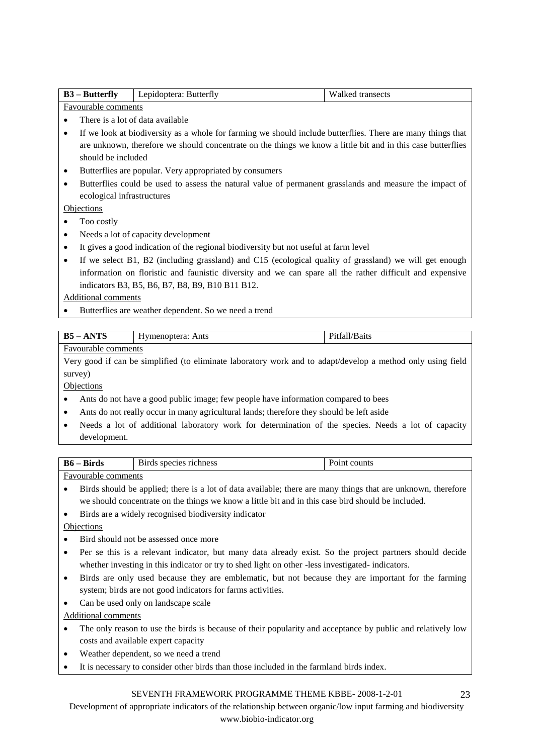|   | $B3 - Butterfly$                                                                                         | Lepidoptera: Butterfly                                                               | Walked transects                                                                                             |  |
|---|----------------------------------------------------------------------------------------------------------|--------------------------------------------------------------------------------------|--------------------------------------------------------------------------------------------------------------|--|
|   |                                                                                                          |                                                                                      |                                                                                                              |  |
|   | Favourable comments                                                                                      |                                                                                      |                                                                                                              |  |
|   |                                                                                                          | There is a lot of data available                                                     |                                                                                                              |  |
| ٠ |                                                                                                          |                                                                                      | If we look at biodiversity as a whole for farming we should include butterflies. There are many things that  |  |
|   |                                                                                                          |                                                                                      | are unknown, therefore we should concentrate on the things we know a little bit and in this case butterflies |  |
|   | should be included                                                                                       |                                                                                      |                                                                                                              |  |
| ٠ |                                                                                                          | Butterflies are popular. Very appropriated by consumers                              |                                                                                                              |  |
|   |                                                                                                          |                                                                                      | Butterflies could be used to assess the natural value of permanent grasslands and measure the impact of      |  |
|   | ecological infrastructures                                                                               |                                                                                      |                                                                                                              |  |
|   | Objections                                                                                               |                                                                                      |                                                                                                              |  |
|   | Too costly                                                                                               |                                                                                      |                                                                                                              |  |
| ٠ |                                                                                                          | Needs a lot of capacity development                                                  |                                                                                                              |  |
| ٠ |                                                                                                          | It gives a good indication of the regional biodiversity but not useful at farm level |                                                                                                              |  |
| ٠ | If we select B1, B2 (including grassland) and C15 (ecological quality of grassland) we will get enough   |                                                                                      |                                                                                                              |  |
|   | information on floristic and faunistic diversity and we can spare all the rather difficult and expensive |                                                                                      |                                                                                                              |  |
|   | indicators B3, B5, B6, B7, B8, B9, B10 B11 B12.                                                          |                                                                                      |                                                                                                              |  |
|   | <b>Additional comments</b>                                                                               |                                                                                      |                                                                                                              |  |
|   |                                                                                                          |                                                                                      |                                                                                                              |  |

Butterflies are weather dependent. So we need a trend

| <b>TELO</b><br>B <sub>5</sub><br>$\sim$ | $ -$<br>Ants<br>,,,,<br>'''<br>. . | 1 L C<br>. |
|-----------------------------------------|------------------------------------|------------|
| $E_{\alpha}$                            |                                    |            |

#### Favourable comments

Very good if can be simplified (to eliminate laboratory work and to adapt/develop a method only using field survey)

**Objections** 

- Ants do not have a good public image; few people have information compared to bees
- Ants do not really occur in many agricultural lands; therefore they should be left aside
- Needs a lot of additional laboratory work for determination of the species. Needs a lot of capacity development.

| $B6 - Birds$               | Birds species richness | Point counts |
|----------------------------|------------------------|--------------|
| <b>Favourable comments</b> |                        |              |

- Birds should be applied; there is a lot of data available; there are many things that are unknown, therefore we should concentrate on the things we know a little bit and in this case bird should be included.
- Birds are a widely recognised biodiversity indicator

Objections

- Bird should not be assessed once more
- Per se this is a relevant indicator, but many data already exist. So the project partners should decide whether investing in this indicator or try to shed light on other -less investigated- indicators.
- Birds are only used because they are emblematic, but not because they are important for the farming system; birds are not good indicators for farms activities.
- Can be used only on landscape scale

Additional comments

- The only reason to use the birds is because of their popularity and acceptance by public and relatively low costs and available expert capacity
- Weather dependent, so we need a trend
- It is necessary to consider other birds than those included in the farmland birds index.

#### SEVENTH FRAMEWORK PROGRAMME THEME KBBE- 2008-1-2-01

23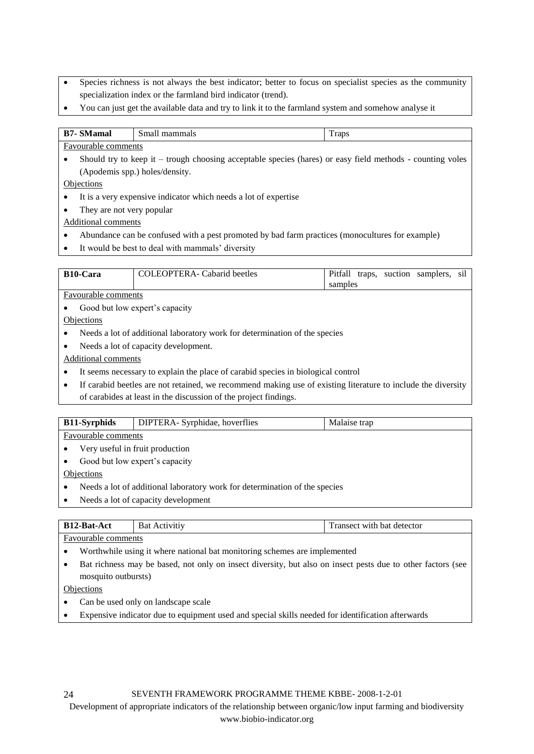- Species richness is not always the best indicator; better to focus on specialist species as the community specialization index or the farmland bird indicator (trend).
- You can just get the available data and try to link it to the farmland system and somehow analyse it

| $\sim$ $\sim$  | mais   | -                                   |
|----------------|--------|-------------------------------------|
| B <sub>7</sub> | mamı   | rano                                |
|                | וואוור | ган.                                |
|                |        | and the contract of the contract of |
| $\sim$         |        |                                     |

#### Favourable comments

• Should try to keep it – trough choosing acceptable species (hares) or easy field methods - counting voles (Apodemis spp.) holes/density.

**Objections** 

- It is a very expensive indicator which needs a lot of expertise
- They are not very popular

Additional comments

- Abundance can be confused with a pest promoted by bad farm practices (monocultures for example)
- It would be best to deal with mammals" diversity

|                     | B <sub>10</sub> -Cara                                                            | <b>COLEOPTERA-</b> Cabarid beetles                                                                           |         |  | Pitfall traps, suction samplers, sil |  |
|---------------------|----------------------------------------------------------------------------------|--------------------------------------------------------------------------------------------------------------|---------|--|--------------------------------------|--|
|                     |                                                                                  |                                                                                                              | samples |  |                                      |  |
|                     | Favourable comments                                                              |                                                                                                              |         |  |                                      |  |
|                     |                                                                                  | Good but low expert's capacity                                                                               |         |  |                                      |  |
|                     | <b>Objections</b>                                                                |                                                                                                              |         |  |                                      |  |
|                     | Needs a lot of additional laboratory work for determination of the species       |                                                                                                              |         |  |                                      |  |
|                     | Needs a lot of capacity development.                                             |                                                                                                              |         |  |                                      |  |
| Additional comments |                                                                                  |                                                                                                              |         |  |                                      |  |
|                     | It seems necessary to explain the place of carabid species in biological control |                                                                                                              |         |  |                                      |  |
| ٠                   |                                                                                  | If carabid beetles are not retained, we recommend making use of existing literature to include the diversity |         |  |                                      |  |
|                     |                                                                                  | of carabides at least in the discussion of the project findings.                                             |         |  |                                      |  |

|                   | <b>B11-Syrphids</b>                                                        | DIPTERA- Syrphidae, hoverflies | Malaise trap |
|-------------------|----------------------------------------------------------------------------|--------------------------------|--------------|
|                   | <b>Favourable comments</b>                                                 |                                |              |
|                   | Very useful in fruit production                                            |                                |              |
|                   | Good but low expert's capacity                                             |                                |              |
| <b>Objections</b> |                                                                            |                                |              |
|                   | Needs a lot of additional laboratory work for determination of the species |                                |              |
|                   | Needs a lot of capacity development                                        |                                |              |

# **B12-Bat-Act** Bat Activitiv Transect with bat detector Favourable comments Worthwhile using it where national bat monitoring schemes are implemented Bat richness may be based, not only on insect diversity, but also on insect pests due to other factors (see mosquito outbursts) **Objections** • Can be used only on landscape scale Expensive indicator due to equipment used and special skills needed for identification afterwards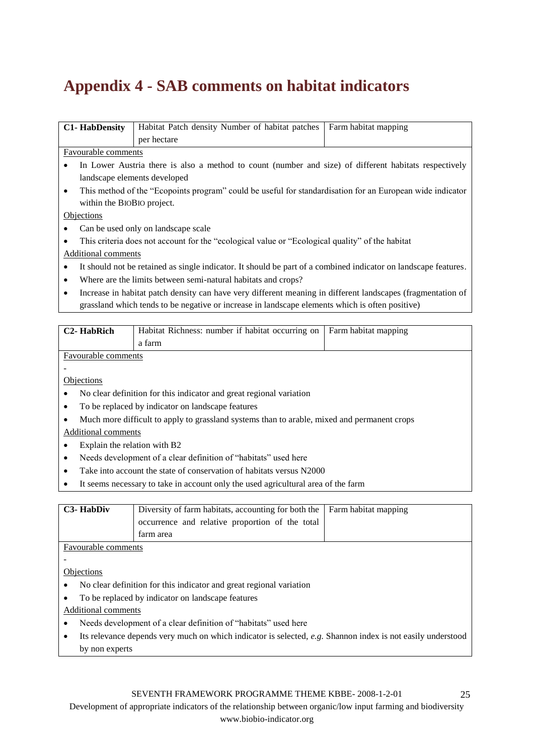# **Appendix 4 - SAB comments on habitat indicators**

| <b>C1-HabDensity</b>                                                                        | Habitat Patch density Number of habitat patches                                                                 | Farm habitat mapping |  |  |  |  |
|---------------------------------------------------------------------------------------------|-----------------------------------------------------------------------------------------------------------------|----------------------|--|--|--|--|
|                                                                                             | per hectare                                                                                                     |                      |  |  |  |  |
|                                                                                             | Favourable comments                                                                                             |                      |  |  |  |  |
|                                                                                             | In Lower Austria there is also a method to count (number and size) of different habitats respectively           |                      |  |  |  |  |
|                                                                                             | landscape elements developed                                                                                    |                      |  |  |  |  |
| ٠                                                                                           | This method of the "Ecopoints program" could be useful for standardisation for an European wide indicator       |                      |  |  |  |  |
| within the BIOBIO project.                                                                  |                                                                                                                 |                      |  |  |  |  |
| <b>Objections</b>                                                                           |                                                                                                                 |                      |  |  |  |  |
|                                                                                             | Can be used only on landscape scale                                                                             |                      |  |  |  |  |
|                                                                                             | This criteria does not account for the "ecological value or "Ecological quality" of the habitat                 |                      |  |  |  |  |
| <b>Additional comments</b>                                                                  |                                                                                                                 |                      |  |  |  |  |
| ٠                                                                                           | It should not be retained as single indicator. It should be part of a combined indicator on landscape features. |                      |  |  |  |  |
|                                                                                             | Where are the limits between semi-natural habitats and crops?                                                   |                      |  |  |  |  |
| $\bullet$                                                                                   | Increase in habitat patch density can have very different meaning in different landscapes (fragmentation of     |                      |  |  |  |  |
|                                                                                             | grassland which tends to be negative or increase in landscape elements which is often positive)                 |                      |  |  |  |  |
|                                                                                             |                                                                                                                 |                      |  |  |  |  |
| <b>C2-HabRich</b>                                                                           | Habitat Richness: number if habitat occurring on                                                                | Farm habitat mapping |  |  |  |  |
|                                                                                             | a farm                                                                                                          |                      |  |  |  |  |
| <b>Favourable comments</b>                                                                  |                                                                                                                 |                      |  |  |  |  |
|                                                                                             |                                                                                                                 |                      |  |  |  |  |
| Objections                                                                                  |                                                                                                                 |                      |  |  |  |  |
| No clear definition for this indicator and great regional variation                         |                                                                                                                 |                      |  |  |  |  |
| ٠                                                                                           | To be replaced by indicator on landscape features                                                               |                      |  |  |  |  |
| Much more difficult to apply to grassland systems than to arable, mixed and permanent crops |                                                                                                                 |                      |  |  |  |  |

Additional comments

- Explain the relation with B2
- Needs development of a clear definition of "habitats" used here
- Take into account the state of conservation of habitats versus N2000
- It seems necessary to take in account only the used agricultural area of the farm

| C3-HabDiv                                                                                                        | Diversity of farm habitats, accounting for both the                 | Farm habitat mapping |  |  |
|------------------------------------------------------------------------------------------------------------------|---------------------------------------------------------------------|----------------------|--|--|
|                                                                                                                  | occurrence and relative proportion of the total                     |                      |  |  |
|                                                                                                                  | farm area                                                           |                      |  |  |
| Favourable comments                                                                                              |                                                                     |                      |  |  |
|                                                                                                                  |                                                                     |                      |  |  |
| <b>Objections</b>                                                                                                |                                                                     |                      |  |  |
|                                                                                                                  | No clear definition for this indicator and great regional variation |                      |  |  |
| To be replaced by indicator on landscape features                                                                |                                                                     |                      |  |  |
| Additional comments                                                                                              |                                                                     |                      |  |  |
| Needs development of a clear definition of "habitats" used here                                                  |                                                                     |                      |  |  |
| Its relevance depends very much on which indicator is selected, e.g. Shannon index is not easily understood<br>٠ |                                                                     |                      |  |  |
|                                                                                                                  | by non experts                                                      |                      |  |  |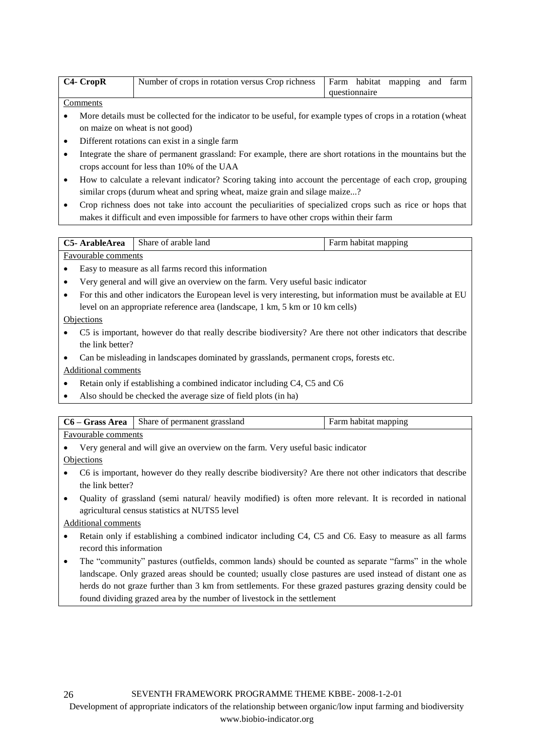| C4- CropR | Number of crops in rotation versus Crop richness   Farm habitat mapping and farm |               |  |  |
|-----------|----------------------------------------------------------------------------------|---------------|--|--|
|           |                                                                                  | questionnaire |  |  |
|           |                                                                                  |               |  |  |

Comments

- More details must be collected for the indicator to be useful, for example types of crops in a rotation (wheat on maize on wheat is not good)
- Different rotations can exist in a single farm
- Integrate the share of permanent grassland: For example, there are short rotations in the mountains but the crops account for less than 10% of the UAA
- How to calculate a relevant indicator? Scoring taking into account the percentage of each crop, grouping similar crops (durum wheat and spring wheat, maize grain and silage maize...?
- Crop richness does not take into account the peculiarities of specialized crops such as rice or hops that makes it difficult and even impossible for farmers to have other crops within their farm

# **C5- ArableArea** Share of arable land Farm habitat mapping

Favourable comments

- Easy to measure as all farms record this information
- Very general and will give an overview on the farm. Very useful basic indicator
- For this and other indicators the European level is very interesting, but information must be available at EU level on an appropriate reference area (landscape, 1 km, 5 km or 10 km cells)

Objections

- C5 is important, however do that really describe biodiversity? Are there not other indicators that describe the link better?
- Can be misleading in landscapes dominated by grasslands, permanent crops, forests etc.

Additional comments

- Retain only if establishing a combined indicator including C4, C5 and C6
- Also should be checked the average size of field plots (in ha)

|                                                                                 | $C6 - Grass Area$ Share of permanent grassland | Farm habitat mapping |  |  |
|---------------------------------------------------------------------------------|------------------------------------------------|----------------------|--|--|
| <b>Favourable comments</b>                                                      |                                                |                      |  |  |
| Very general and will give an overview on the farm. Very useful basic indicator |                                                |                      |  |  |

**Objections** 

- C6 is important, however do they really describe biodiversity? Are there not other indicators that describe the link better?
- Quality of grassland (semi natural/ heavily modified) is often more relevant. It is recorded in national agricultural census statistics at NUTS5 level

Additional comments

- Retain only if establishing a combined indicator including C4, C5 and C6. Easy to measure as all farms record this information
- The "community" pastures (outfields, common lands) should be counted as separate "farms" in the whole landscape. Only grazed areas should be counted; usually close pastures are used instead of distant one as herds do not graze further than 3 km from settlements. For these grazed pastures grazing density could be found dividing grazed area by the number of livestock in the settlement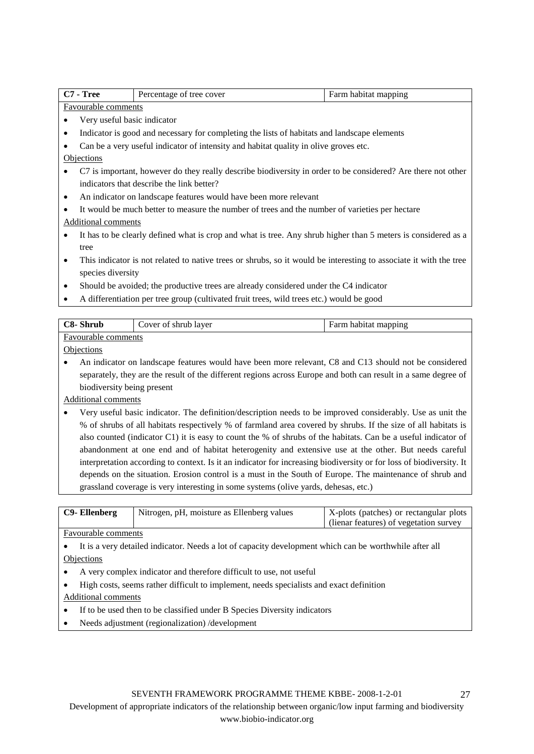|   | $C7 - Tree$                                                                                                       | Percentage of tree cover                                                                                      | Farm habitat mapping |  |
|---|-------------------------------------------------------------------------------------------------------------------|---------------------------------------------------------------------------------------------------------------|----------------------|--|
|   | Favourable comments                                                                                               |                                                                                                               |                      |  |
|   |                                                                                                                   |                                                                                                               |                      |  |
| ٠ | Very useful basic indicator                                                                                       |                                                                                                               |                      |  |
| ٠ |                                                                                                                   | Indicator is good and necessary for completing the lists of habitats and landscape elements                   |                      |  |
|   |                                                                                                                   | Can be a very useful indicator of intensity and habitat quality in olive groves etc.                          |                      |  |
|   | <b>Objections</b>                                                                                                 |                                                                                                               |                      |  |
|   |                                                                                                                   | C7 is important, however do they really describe biodiversity in order to be considered? Are there not other  |                      |  |
|   |                                                                                                                   | indicators that describe the link better?                                                                     |                      |  |
| ٠ |                                                                                                                   | An indicator on landscape features would have been more relevant                                              |                      |  |
| ٠ |                                                                                                                   | It would be much better to measure the number of trees and the number of varieties per hectare                |                      |  |
|   | Additional comments                                                                                               |                                                                                                               |                      |  |
| ٠ |                                                                                                                   | It has to be clearly defined what is crop and what is tree. Any shrub higher than 5 meters is considered as a |                      |  |
|   | tree                                                                                                              |                                                                                                               |                      |  |
| ٠ | This indicator is not related to native trees or shrubs, so it would be interesting to associate it with the tree |                                                                                                               |                      |  |
|   | species diversity                                                                                                 |                                                                                                               |                      |  |
| ٠ |                                                                                                                   | Should be avoided; the productive trees are already considered under the C4 indicator                         |                      |  |

A differentiation per tree group (cultivated fruit trees, wild trees etc.) would be good

| C8- Shrub                  | Cover of shrub layer | Farm habitat mapping |
|----------------------------|----------------------|----------------------|
| <b>Favourable comments</b> |                      |                      |

Objections

 An indicator on landscape features would have been more relevant, C8 and C13 should not be considered separately, they are the result of the different regions across Europe and both can result in a same degree of biodiversity being present

Additional comments

 Very useful basic indicator. The definition/description needs to be improved considerably. Use as unit the % of shrubs of all habitats respectively % of farmland area covered by shrubs. If the size of all habitats is also counted (indicator C1) it is easy to count the % of shrubs of the habitats. Can be a useful indicator of abandonment at one end and of habitat heterogenity and extensive use at the other. But needs careful interpretation according to context. Is it an indicator for increasing biodiversity or for loss of biodiversity. It depends on the situation. Erosion control is a must in the South of Europe. The maintenance of shrub and grassland coverage is very interesting in some systems (olive yards, dehesas, etc.)

| C9-Ellenberg               | Nitrogen, pH, moisture as Ellenberg values | X-plots (patches) or rectangular plots<br>(lienar features) of vegetation survey |
|----------------------------|--------------------------------------------|----------------------------------------------------------------------------------|
| <b>Favourable comments</b> |                                            |                                                                                  |

 It is a very detailed indicator. Needs a lot of capacity development which can be worthwhile after all **Objections** 

- A very complex indicator and therefore difficult to use, not useful
- High costs, seems rather difficult to implement, needs specialists and exact definition

Additional comments

- If to be used then to be classified under B Species Diversity indicators
- Needs adjustment (regionalization) /development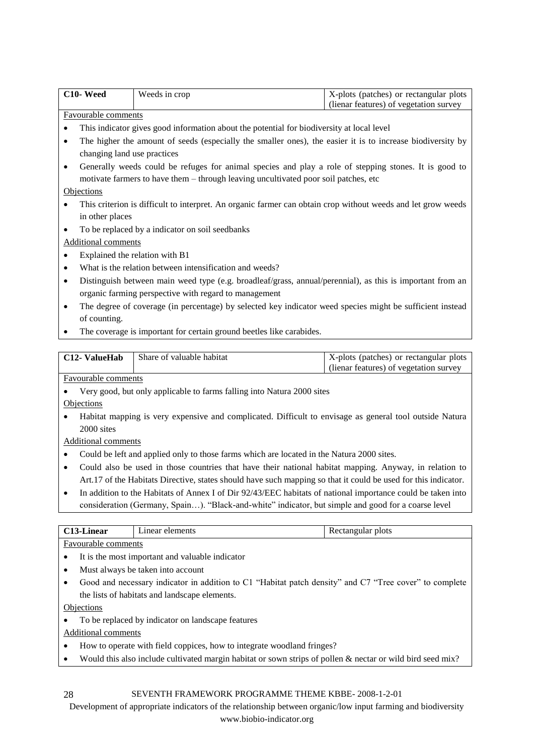|                                                                      | C10-Weed                                                                                                  | Weeds in crop                                                                                                | X-plots (patches) or rectangular plots |
|----------------------------------------------------------------------|-----------------------------------------------------------------------------------------------------------|--------------------------------------------------------------------------------------------------------------|----------------------------------------|
|                                                                      |                                                                                                           |                                                                                                              | (lienar features) of vegetation survey |
|                                                                      | <b>Favourable comments</b>                                                                                |                                                                                                              |                                        |
|                                                                      |                                                                                                           | This indicator gives good information about the potential for biodiversity at local level                    |                                        |
|                                                                      |                                                                                                           | The higher the amount of seeds (especially the smaller ones), the easier it is to increase biodiversity by   |                                        |
|                                                                      | changing land use practices                                                                               |                                                                                                              |                                        |
|                                                                      |                                                                                                           |                                                                                                              |                                        |
| ٠                                                                    |                                                                                                           | Generally weeds could be refuges for animal species and play a role of stepping stones. It is good to        |                                        |
|                                                                      |                                                                                                           | motivate farmers to have them – through leaving uncultivated poor soil patches, etc                          |                                        |
|                                                                      | <b>Objections</b>                                                                                         |                                                                                                              |                                        |
|                                                                      |                                                                                                           | This criterion is difficult to interpret. An organic farmer can obtain crop without weeds and let grow weeds |                                        |
|                                                                      | in other places                                                                                           |                                                                                                              |                                        |
|                                                                      |                                                                                                           | To be replaced by a indicator on soil seedbanks                                                              |                                        |
|                                                                      | <b>Additional comments</b>                                                                                |                                                                                                              |                                        |
|                                                                      |                                                                                                           | Explained the relation with B1                                                                               |                                        |
| ٠                                                                    |                                                                                                           | What is the relation between intensification and weeds?                                                      |                                        |
| ٠                                                                    |                                                                                                           | Distinguish between main weed type (e.g. broadleaf/grass, annual/perennial), as this is important from an    |                                        |
|                                                                      | organic farming perspective with regard to management                                                     |                                                                                                              |                                        |
|                                                                      | The degree of coverage (in percentage) by selected key indicator weed species might be sufficient instead |                                                                                                              |                                        |
|                                                                      | of counting.                                                                                              |                                                                                                              |                                        |
| The coverage is important for certain ground beetles like carabides. |                                                                                                           |                                                                                                              |                                        |
|                                                                      |                                                                                                           |                                                                                                              |                                        |
|                                                                      |                                                                                                           |                                                                                                              |                                        |
|                                                                      | C12- ValueHab                                                                                             | Share of valuable habitat                                                                                    | X-plots (patches) or rectangular plots |
|                                                                      |                                                                                                           |                                                                                                              | (lienar features) of vegetation survey |

#### Favourable comments

Very good, but only applicable to farms falling into Natura 2000 sites

**Objections** 

28

 Habitat mapping is very expensive and complicated. Difficult to envisage as general tool outside Natura 2000 sites

Additional comments

- Could be left and applied only to those farms which are located in the Natura 2000 sites.
- Could also be used in those countries that have their national habitat mapping. Anyway, in relation to Art.17 of the Habitats Directive, states should have such mapping so that it could be used for this indicator.
- In addition to the Habitats of Annex I of Dir 92/43/EEC habitats of national importance could be taken into consideration (Germany, Spain…). "Black-and-white" indicator, but simple and good for a coarse level

# **C13-Linear** Linear elements Rectangular plots Favourable comments It is the most important and valuable indicator • Must always be taken into account Good and necessary indicator in addition to C1 "Habitat patch density" and C7 "Tree cover" to complete the lists of habitats and landscape elements. **Objections** • To be replaced by indicator on landscape features Additional comments How to operate with field coppices, how to integrate woodland fringes? Would this also include cultivated margin habitat or sown strips of pollen & nectar or wild bird seed mix?

SEVENTH FRAMEWORK PROGRAMME THEME KBBE- 2008-1-2-01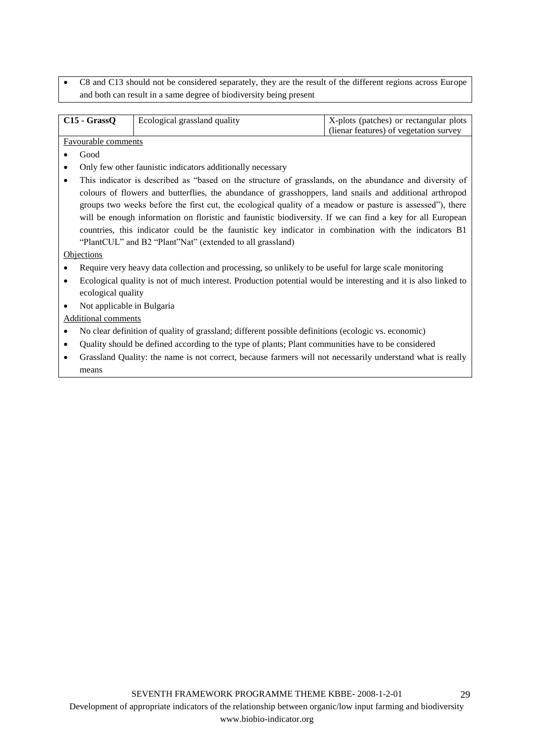C8 and C13 should not be considered separately, they are the result of the different regions across Europe and both can result in a same degree of biodiversity being present

| $C15 - GrassO$ | Ecological grassland quality | X-plots (patches) or rectangular plots |
|----------------|------------------------------|----------------------------------------|
|                |                              | (lienar features) of vegetation survey |
|                |                              |                                        |

# Favourable comments

- Good
- Only few other faunistic indicators additionally necessary
- This indicator is described as "based on the structure of grasslands, on the abundance and diversity of colours of flowers and butterflies, the abundance of grasshoppers, land snails and additional arthropod groups two weeks before the first cut, the ecological quality of a meadow or pasture is assessed"), there will be enough information on floristic and faunistic biodiversity. If we can find a key for all European countries, this indicator could be the faunistic key indicator in combination with the indicators B1 "PlantCUL" and B2 "Plant"Nat" (extended to all grassland)

#### Objections

- Require very heavy data collection and processing, so unlikely to be useful for large scale monitoring
- Ecological quality is not of much interest. Production potential would be interesting and it is also linked to ecological quality
- Not applicable in Bulgaria

### Additional comments

- No clear definition of quality of grassland; different possible definitions (ecologic vs. economic)
- Quality should be defined according to the type of plants; Plant communities have to be considered
- Grassland Quality: the name is not correct, because farmers will not necessarily understand what is really means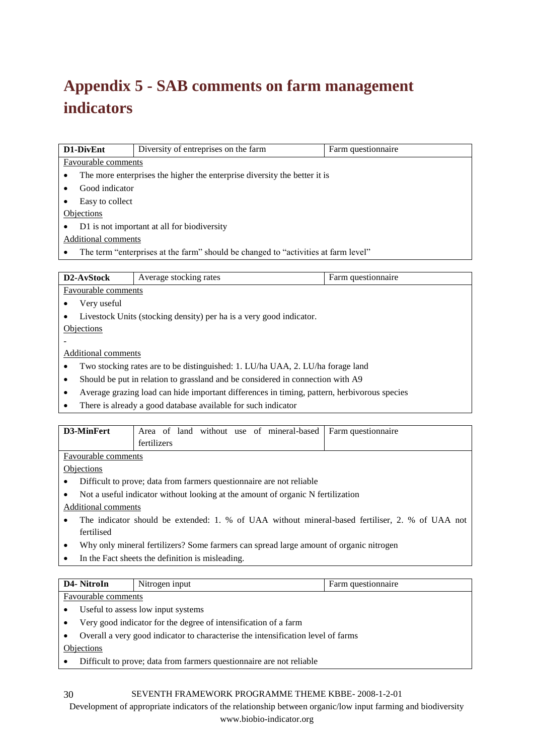# **Appendix 5 - SAB comments on farm management indicators**

| D1-DivEnt                                                                          | Diversity of entreprises on the farm                                      | Farm questionnaire |  |
|------------------------------------------------------------------------------------|---------------------------------------------------------------------------|--------------------|--|
| <b>Favourable comments</b>                                                         |                                                                           |                    |  |
|                                                                                    | The more enterprises the higher the enterprise diversity the better it is |                    |  |
| Good indicator                                                                     |                                                                           |                    |  |
|                                                                                    | Easy to collect                                                           |                    |  |
| <b>Objections</b>                                                                  |                                                                           |                    |  |
|                                                                                    | D1 is not important at all for biodiversity                               |                    |  |
| Additional comments                                                                |                                                                           |                    |  |
| The term "enterprises at the farm" should be changed to "activities at farm level" |                                                                           |                    |  |
|                                                                                    |                                                                           |                    |  |

| D2-AvStock                                                                                       | Average stocking rates                                                         | Farm questionnaire |  |  |
|--------------------------------------------------------------------------------------------------|--------------------------------------------------------------------------------|--------------------|--|--|
| <b>Favourable comments</b>                                                                       |                                                                                |                    |  |  |
| Very useful                                                                                      |                                                                                |                    |  |  |
|                                                                                                  | Livestock Units (stocking density) per ha is a very good indicator.            |                    |  |  |
| <b>Objections</b>                                                                                |                                                                                |                    |  |  |
|                                                                                                  |                                                                                |                    |  |  |
| Additional comments                                                                              |                                                                                |                    |  |  |
|                                                                                                  | Two stocking rates are to be distinguished: 1. LU/ha UAA, 2. LU/ha forage land |                    |  |  |
| ٠                                                                                                | Should be put in relation to grassland and be considered in connection with A9 |                    |  |  |
| Average grazing load can hide important differences in timing, pattern, herbivorous species<br>٠ |                                                                                |                    |  |  |
| ٠                                                                                                | There is already a good database available for such indicator                  |                    |  |  |

| D3-MinFert                 | Farm questionnaire<br>Area of land without use of mineral-based                                 |  |  |  |
|----------------------------|-------------------------------------------------------------------------------------------------|--|--|--|
|                            | fertilizers                                                                                     |  |  |  |
| <b>Favourable comments</b> |                                                                                                 |  |  |  |
| <b>Objections</b>          |                                                                                                 |  |  |  |
| $\bullet$                  | Difficult to prove; data from farmers questionnaire are not reliable                            |  |  |  |
| ٠                          | Not a useful indicator without looking at the amount of organic N fertilization                 |  |  |  |
|                            | Additional comments                                                                             |  |  |  |
| ٠                          | The indicator should be extended: 1. % of UAA without mineral-based fertiliser, 2. % of UAA not |  |  |  |
| fertilised                 |                                                                                                 |  |  |  |
| $\bullet$                  | Why only mineral fertilizers? Some farmers can spread large amount of organic nitrogen          |  |  |  |
| $\bullet$                  | In the Fact sheets the definition is misleading.                                                |  |  |  |

|                   | D4- NitroIn                                                                      | Nitrogen input | Farm questionnaire |
|-------------------|----------------------------------------------------------------------------------|----------------|--------------------|
|                   | Favourable comments                                                              |                |                    |
| ٠                 | Useful to assess low input systems                                               |                |                    |
|                   | Very good indicator for the degree of intensification of a farm                  |                |                    |
|                   | Overall a very good indicator to characterise the intensification level of farms |                |                    |
| <b>Objections</b> |                                                                                  |                |                    |
|                   | Difficult to prove; data from farmers questionnaire are not reliable             |                |                    |

#### SEVENTH FRAMEWORK PROGRAMME THEME KBBE- 2008-1-2-01 Development of appropriate indicators of the relationship between organic/low input farming and biodiversity www.biobio-indicator.org 30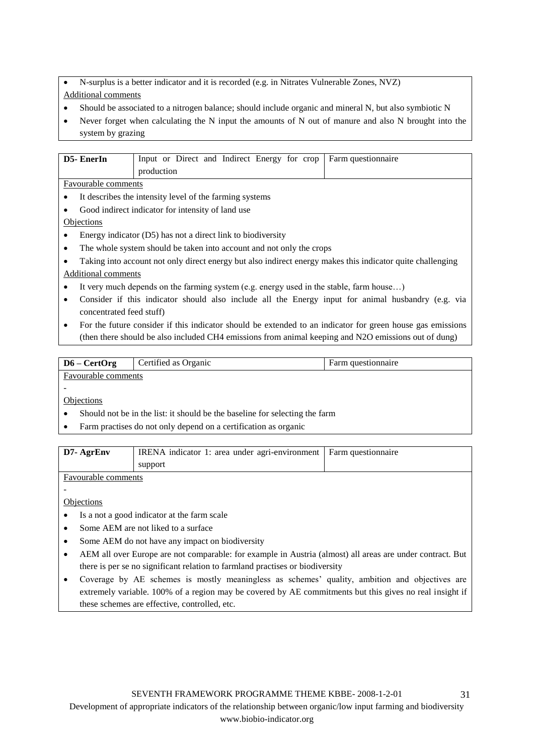N-surplus is a better indicator and it is recorded (e.g. in Nitrates Vulnerable Zones, NVZ)

### Additional comments

- Should be associated to a nitrogen balance; should include organic and mineral N, but also symbiotic N
- Never forget when calculating the N input the amounts of N out of manure and also N brought into the system by grazing

| D5-EnerIn                                                                                                  | Input or Direct and Indirect Energy for crop                                                               | Farm questionnaire |  |
|------------------------------------------------------------------------------------------------------------|------------------------------------------------------------------------------------------------------------|--------------------|--|
|                                                                                                            | production                                                                                                 |                    |  |
| Favourable comments                                                                                        |                                                                                                            |                    |  |
| It describes the intensity level of the farming systems                                                    |                                                                                                            |                    |  |
| Good indirect indicator for intensity of land use                                                          |                                                                                                            |                    |  |
| Objections                                                                                                 |                                                                                                            |                    |  |
| Energy indicator (D5) has not a direct link to biodiversity                                                |                                                                                                            |                    |  |
| The whole system should be taken into account and not only the crops                                       |                                                                                                            |                    |  |
| Taking into account not only direct energy but also indirect energy makes this indicator quite challenging |                                                                                                            |                    |  |
| Additional comments                                                                                        |                                                                                                            |                    |  |
| It very much depends on the farming system (e.g. energy used in the stable, farm house)                    |                                                                                                            |                    |  |
|                                                                                                            | Consider if this indicator should also include all the Energy input for animal husbandry (e.g. via         |                    |  |
| concentrated feed stuff)                                                                                   |                                                                                                            |                    |  |
|                                                                                                            | For the future consider if this indicator should be extended to an indicator for green house gas emissions |                    |  |
|                                                                                                            | (then there should be also included CH4 emissions from animal keeping and N2O emissions out of dung)       |                    |  |

| $D6 - CertOrg$      | Certified as Organic | Farm questionnaire |
|---------------------|----------------------|--------------------|
| Favourable comments |                      |                    |
|                     |                      |                    |
| <b>Objections</b>   |                      |                    |

- Should not be in the list: it should be the baseline for selecting the farm
- Farm practises do not only depend on a certification as organic

| D7- AgrEnv                                                                                                | IRENA indicator 1: area under agri-environment                                                          | Farm questionnaire |
|-----------------------------------------------------------------------------------------------------------|---------------------------------------------------------------------------------------------------------|--------------------|
|                                                                                                           | support                                                                                                 |                    |
| <b>Favourable comments</b>                                                                                |                                                                                                         |                    |
|                                                                                                           |                                                                                                         |                    |
| <b>Objections</b>                                                                                         |                                                                                                         |                    |
|                                                                                                           | Is a not a good indicator at the farm scale                                                             |                    |
|                                                                                                           | Some AEM are not liked to a surface                                                                     |                    |
| Some AEM do not have any impact on biodiversity                                                           |                                                                                                         |                    |
| AEM all over Europe are not comparable: for example in Austria (almost) all areas are under contract. But |                                                                                                         |                    |
| there is per se no significant relation to farmland practises or biodiversity                             |                                                                                                         |                    |
|                                                                                                           | Coverage by AE schemes is mostly meaningless as schemes' quality, ambition and objectives are           |                    |
|                                                                                                           | extremely variable. 100% of a region may be covered by AE commitments but this gives no real insight if |                    |

these schemes are effective, controlled, etc.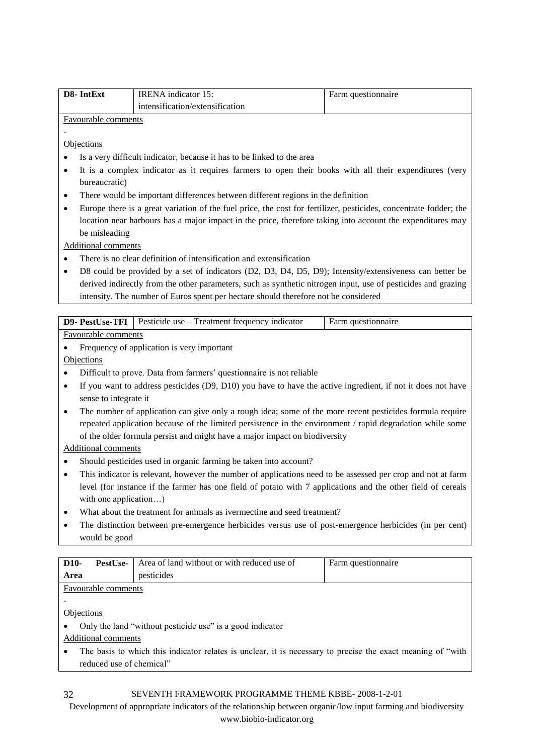|                                                                                     | intensification/extensification                                                                                   |                    |  |
|-------------------------------------------------------------------------------------|-------------------------------------------------------------------------------------------------------------------|--------------------|--|
| Favourable comments                                                                 |                                                                                                                   |                    |  |
|                                                                                     |                                                                                                                   |                    |  |
| <b>Objections</b>                                                                   |                                                                                                                   |                    |  |
|                                                                                     | Is a very difficult indicator, because it has to be linked to the area                                            |                    |  |
| $\bullet$                                                                           | It is a complex indicator as it requires farmers to open their books with all their expenditures (very            |                    |  |
| bureaucratic)                                                                       |                                                                                                                   |                    |  |
| ٠                                                                                   | There would be important differences between different regions in the definition                                  |                    |  |
|                                                                                     | Europe there is a great variation of the fuel price, the cost for fertilizer, pesticides, concentrate fodder; the |                    |  |
|                                                                                     | location near harbours has a major impact in the price, therefore taking into account the expenditures may        |                    |  |
| be misleading                                                                       |                                                                                                                   |                    |  |
| <b>Additional comments</b>                                                          |                                                                                                                   |                    |  |
|                                                                                     | There is no clear definition of intensification and extensification                                               |                    |  |
| ٠                                                                                   | D8 could be provided by a set of indicators (D2, D3, D4, D5, D9); Intensity/extensiveness can better be           |                    |  |
|                                                                                     | derived indirectly from the other parameters, such as synthetic nitrogen input, use of pesticides and grazing     |                    |  |
| intensity. The number of Euros spent per hectare should therefore not be considered |                                                                                                                   |                    |  |
|                                                                                     |                                                                                                                   |                    |  |
| D9- PestUse-TFI                                                                     | Pesticide use - Treatment frequency indicator                                                                     | Farm questionnaire |  |
| Favourable comments                                                                 |                                                                                                                   |                    |  |
| Frequency of application is very important                                          |                                                                                                                   |                    |  |
| <b>Objections</b>                                                                   |                                                                                                                   |                    |  |
| Difficult to prove. Data from farmers' questionnaire is not reliable                |                                                                                                                   |                    |  |

Farm questionnaire

- If you want to address pesticides (D9, D10) you have to have the active ingredient, if not it does not have sense to integrate it
- The number of application can give only a rough idea; some of the more recent pesticides formula require repeated application because of the limited persistence in the environment / rapid degradation while some of the older formula persist and might have a major impact on biodiversity

Additional comments

**D8- IntExt** IRENA indicator 15:

- Should pesticides used in organic farming be taken into account?
- This indicator is relevant, however the number of applications need to be assessed per crop and not at farm level (for instance if the farmer has one field of potato with 7 applications and the other field of cereals with one application...)
- What about the treatment for animals as ivermectine and seed treatment?
- The distinction between pre-emergence herbicides versus use of post-emergence herbicides (in per cent) would be good

| D <sub>10</sub> -          | PestUse-                                                                                                                                 | Area of land without or with reduced use of | Farm questionnaire |
|----------------------------|------------------------------------------------------------------------------------------------------------------------------------------|---------------------------------------------|--------------------|
| Area                       |                                                                                                                                          | pesticides                                  |                    |
| <b>Favourable comments</b> |                                                                                                                                          |                                             |                    |
|                            |                                                                                                                                          |                                             |                    |
| <b>Objections</b>          |                                                                                                                                          |                                             |                    |
|                            | Only the land "without pesticide use" is a good indicator                                                                                |                                             |                    |
| Additional comments        |                                                                                                                                          |                                             |                    |
|                            | The basis to which this indicator relates is unclear, it is necessary to precise the exact meaning of "with"<br>reduced use of chemical" |                                             |                    |

SEVENTH FRAMEWORK PROGRAMME THEME KBBE- 2008-1-2-01

Development of appropriate indicators of the relationship between organic/low input farming and biodiversity www.biobio-indicator.org

32